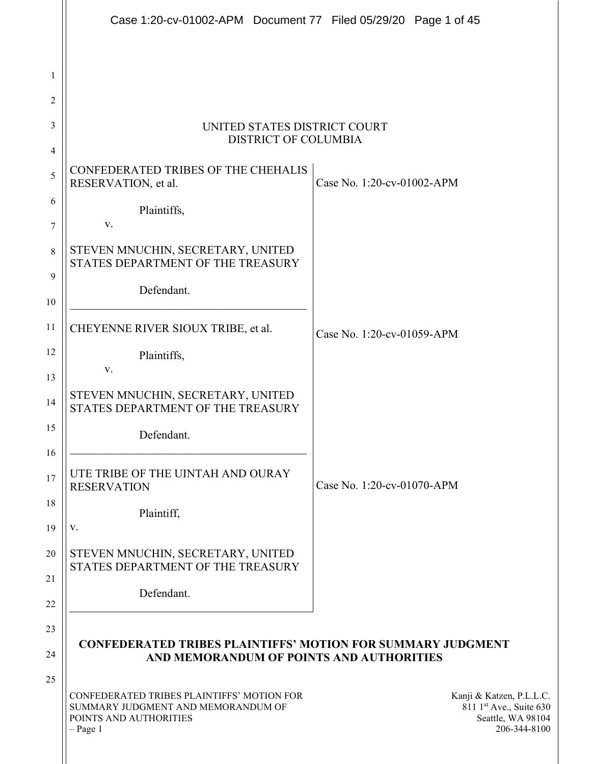|                 | Case 1:20-cv-01002-APM  Document 77  Filed 05/29/20  Page 1 of 45                                                        |                                                                                          |
|-----------------|--------------------------------------------------------------------------------------------------------------------------|------------------------------------------------------------------------------------------|
| 1               |                                                                                                                          |                                                                                          |
| 2               |                                                                                                                          |                                                                                          |
| 3               | UNITED STATES DISTRICT COURT<br><b>DISTRICT OF COLUMBIA</b>                                                              |                                                                                          |
| 4               | CONFEDERATED TRIBES OF THE CHEHALIS                                                                                      |                                                                                          |
| 5               | RESERVATION, et al.                                                                                                      | Case No. 1:20-cv-01002-APM                                                               |
| 6<br>$\sqrt{ }$ | Plaintiffs,<br>V.                                                                                                        |                                                                                          |
| 8               | STEVEN MNUCHIN, SECRETARY, UNITED<br>STATES DEPARTMENT OF THE TREASURY                                                   |                                                                                          |
| 9               | Defendant.                                                                                                               |                                                                                          |
| 10              |                                                                                                                          |                                                                                          |
| 11              | CHEYENNE RIVER SIOUX TRIBE, et al.                                                                                       | Case No. 1:20-cv-01059-APM                                                               |
| 12<br>13        | Plaintiffs,<br>V.                                                                                                        |                                                                                          |
| 14              | STEVEN MNUCHIN, SECRETARY, UNITED<br>STATES DEPARTMENT OF THE TREASURY                                                   |                                                                                          |
| 15              | Defendant.                                                                                                               |                                                                                          |
| 16<br>17        | UTE TRIBE OF THE UINTAH AND OURAY<br><b>RESERVATION</b>                                                                  | Case No. 1:20-cv-01070-APM                                                               |
| 18<br>19        | Plaintiff,<br>V.                                                                                                         |                                                                                          |
| 20              | STEVEN MNUCHIN, SECRETARY, UNITED<br>STATES DEPARTMENT OF THE TREASURY                                                   |                                                                                          |
| 21<br>22        | Defendant.                                                                                                               |                                                                                          |
| 23              | <b>CONFEDERATED TRIBES PLAINTIFFS' MOTION FOR SUMMARY JUDGMENT</b>                                                       |                                                                                          |
| 24              | AND MEMORANDUM OF POINTS AND AUTHORITIES                                                                                 |                                                                                          |
| 25              | CONFEDERATED TRIBES PLAINTIFFS' MOTION FOR<br>SUMMARY JUDGMENT AND MEMORANDUM OF<br>POINTS AND AUTHORITIES<br>$-$ Page 1 | Kanji & Katzen, P.L.L.C.<br>811 1st Ave., Suite 630<br>Seattle, WA 98104<br>206-344-8100 |
|                 |                                                                                                                          |                                                                                          |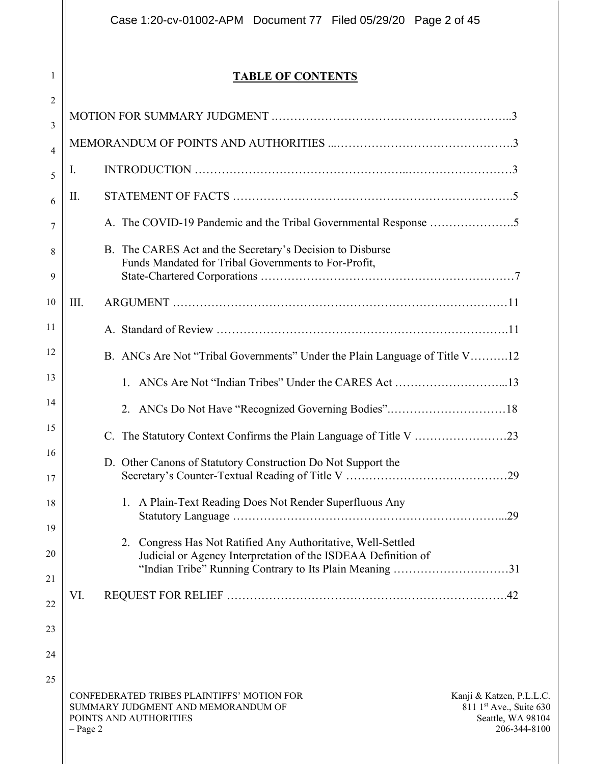Case 1:20-cv-01002-APM Document 77 Filed 05/29/20 Page 2 of 45

# TABLE OF CONTENTS

| $\overline{2}$  |            |                                                                                                                                                                                          |                                                                                          |
|-----------------|------------|------------------------------------------------------------------------------------------------------------------------------------------------------------------------------------------|------------------------------------------------------------------------------------------|
| 3               |            |                                                                                                                                                                                          |                                                                                          |
| $\overline{4}$  |            |                                                                                                                                                                                          |                                                                                          |
| 5               | I.         |                                                                                                                                                                                          |                                                                                          |
| 6               | Π.         |                                                                                                                                                                                          |                                                                                          |
| 7               |            |                                                                                                                                                                                          |                                                                                          |
| 8<br>9          |            | B. The CARES Act and the Secretary's Decision to Disburse<br>Funds Mandated for Tribal Governments to For-Profit,                                                                        |                                                                                          |
| 10              | III.       |                                                                                                                                                                                          |                                                                                          |
| 11              |            |                                                                                                                                                                                          |                                                                                          |
| 12              |            | B. ANCs Are Not "Tribal Governments" Under the Plain Language of Title V12                                                                                                               |                                                                                          |
| 13              |            | 1.                                                                                                                                                                                       |                                                                                          |
| 14              |            | 2.                                                                                                                                                                                       |                                                                                          |
| 15              |            | C.                                                                                                                                                                                       |                                                                                          |
| 16<br>17        |            | D. Other Canons of Statutory Construction Do Not Support the                                                                                                                             |                                                                                          |
| 18<br>19        |            | 1. A Plain-Text Reading Does Not Render Superfluous Any                                                                                                                                  |                                                                                          |
| 20              |            | 2. Congress Has Not Ratified Any Authoritative, Well-Settled<br>Judicial or Agency Interpretation of the ISDEAA Definition of<br>"Indian Tribe" Running Contrary to Its Plain Meaning 31 |                                                                                          |
| $\overline{21}$ |            |                                                                                                                                                                                          |                                                                                          |
| 22              | VI.        |                                                                                                                                                                                          |                                                                                          |
| 23              |            |                                                                                                                                                                                          |                                                                                          |
| 24              |            |                                                                                                                                                                                          |                                                                                          |
| 25              | $-$ Page 2 | CONFEDERATED TRIBES PLAINTIFFS' MOTION FOR<br>SUMMARY JUDGMENT AND MEMORANDUM OF<br>POINTS AND AUTHORITIES                                                                               | Kanji & Katzen, P.L.L.C.<br>811 1st Ave., Suite 630<br>Seattle, WA 98104<br>206-344-8100 |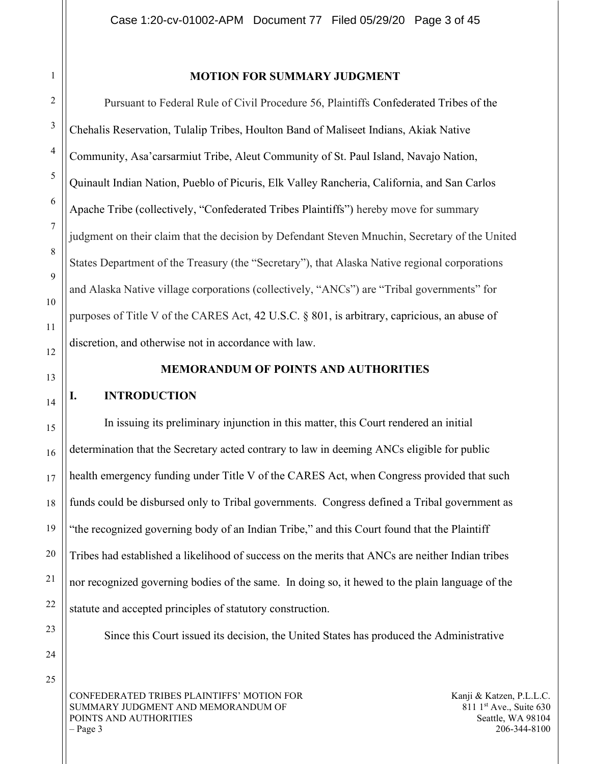25

#### MOTION FOR SUMMARY JUDGMENT

Pursuant to Federal Rule of Civil Procedure 56, Plaintiffs Confederated Tribes of the Chehalis Reservation, Tulalip Tribes, Houlton Band of Maliseet Indians, Akiak Native Community, Asa'carsarmiut Tribe, Aleut Community of St. Paul Island, Navajo Nation, Quinault Indian Nation, Pueblo of Picuris, Elk Valley Rancheria, California, and San Carlos Apache Tribe (collectively, "Confederated Tribes Plaintiffs") hereby move for summary judgment on their claim that the decision by Defendant Steven Mnuchin, Secretary of the United States Department of the Treasury (the "Secretary"), that Alaska Native regional corporations and Alaska Native village corporations (collectively, "ANCs") are "Tribal governments" for purposes of Title V of the CARES Act, 42 U.S.C. § 801, is arbitrary, capricious, an abuse of discretion, and otherwise not in accordance with law.

#### MEMORANDUM OF POINTS AND AUTHORITIES

#### I. INTRODUCTION

In issuing its preliminary injunction in this matter, this Court rendered an initial determination that the Secretary acted contrary to law in deeming ANCs eligible for public health emergency funding under Title V of the CARES Act, when Congress provided that such funds could be disbursed only to Tribal governments. Congress defined a Tribal government as "the recognized governing body of an Indian Tribe," and this Court found that the Plaintiff Tribes had established a likelihood of success on the merits that ANCs are neither Indian tribes nor recognized governing bodies of the same. In doing so, it hewed to the plain language of the statute and accepted principles of statutory construction.

Since this Court issued its decision, the United States has produced the Administrative

CONFEDERATED TRIBES PLAINTIFFS' MOTION FOR SUMMARY JUDGMENT AND MEMORANDUM OF POINTS AND AUTHORITIES – Page 3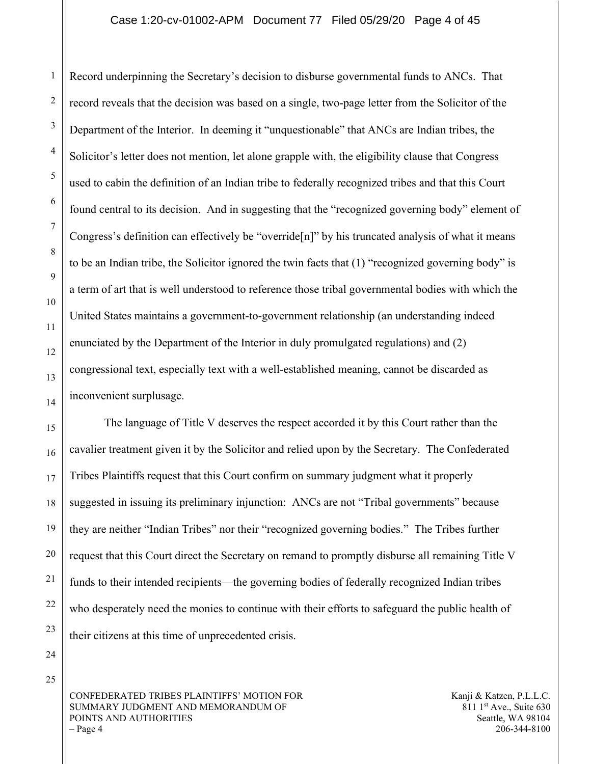#### Case 1:20-cv-01002-APM Document 77 Filed 05/29/20 Page 4 of 45

Record underpinning the Secretary's decision to disburse governmental funds to ANCs. That record reveals that the decision was based on a single, two-page letter from the Solicitor of the Department of the Interior. In deeming it "unquestionable" that ANCs are Indian tribes, the Solicitor's letter does not mention, let alone grapple with, the eligibility clause that Congress used to cabin the definition of an Indian tribe to federally recognized tribes and that this Court found central to its decision. And in suggesting that the "recognized governing body" element of Congress's definition can effectively be "override[n]" by his truncated analysis of what it means to be an Indian tribe, the Solicitor ignored the twin facts that (1) "recognized governing body" is a term of art that is well understood to reference those tribal governmental bodies with which the United States maintains a government-to-government relationship (an understanding indeed enunciated by the Department of the Interior in duly promulgated regulations) and (2) congressional text, especially text with a well-established meaning, cannot be discarded as inconvenient surplusage.

The language of Title V deserves the respect accorded it by this Court rather than the cavalier treatment given it by the Solicitor and relied upon by the Secretary. The Confederated Tribes Plaintiffs request that this Court confirm on summary judgment what it properly suggested in issuing its preliminary injunction: ANCs are not "Tribal governments" because they are neither "Indian Tribes" nor their "recognized governing bodies." The Tribes further request that this Court direct the Secretary on remand to promptly disburse all remaining Title V funds to their intended recipients—the governing bodies of federally recognized Indian tribes who desperately need the monies to continue with their efforts to safeguard the public health of their citizens at this time of unprecedented crisis.

24 25

1

2

3

4

5

6

7

8

9

10

11

12

13

14

15

16

17

18

19

20

21

22

23

CONFEDERATED TRIBES PLAINTIFFS' MOTION FOR SUMMARY JUDGMENT AND MEMORANDUM OF POINTS AND AUTHORITIES  $-$  Page 4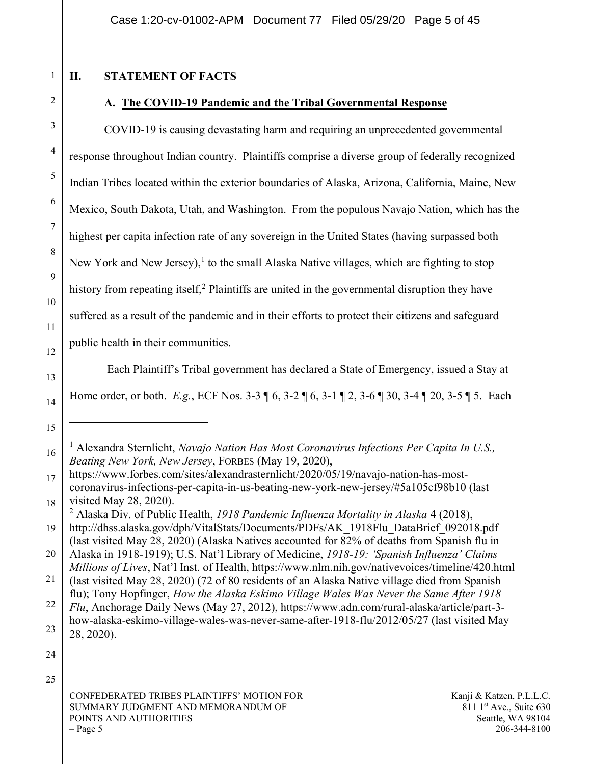## II. STATEMENT OF FACTS

# 2

3

4

5

6

7

8

9

10

11

12

13

14

15

16

1

## A. The COVID-19 Pandemic and the Tribal Governmental Response

COVID-19 is causing devastating harm and requiring an unprecedented governmental response throughout Indian country. Plaintiffs comprise a diverse group of federally recognized Indian Tribes located within the exterior boundaries of Alaska, Arizona, California, Maine, New Mexico, South Dakota, Utah, and Washington. From the populous Navajo Nation, which has the highest per capita infection rate of any sovereign in the United States (having surpassed both New York and New Jersey), $<sup>1</sup>$  to the small Alaska Native villages, which are fighting to stop</sup> history from repeating itself,<sup>2</sup> Plaintiffs are united in the governmental disruption they have suffered as a result of the pandemic and in their efforts to protect their citizens and safeguard public health in their communities.

 Each Plaintiff's Tribal government has declared a State of Emergency, issued a Stay at Home order, or both. E.g., ECF Nos. 3-3 ¶ 6, 3-2 ¶ 6, 3-1 ¶ 2, 3-6 ¶ 30, 3-4 ¶ 20, 3-5 ¶ 5. Each

24

25

<sup>&</sup>lt;sup>1</sup> Alexandra Sternlicht, Navajo Nation Has Most Coronavirus Infections Per Capita In U.S., Beating New York, New Jersey, FORBES (May 19, 2020),

<sup>17</sup> 18 https://www.forbes.com/sites/alexandrasternlicht/2020/05/19/navajo-nation-has-mostcoronavirus-infections-per-capita-in-us-beating-new-york-new-jersey/#5a105cf98b10 (last visited May 28, 2020).

<sup>&</sup>lt;sup>2</sup> Alaska Div. of Public Health, 1918 Pandemic Influenza Mortality in Alaska 4 (2018),

<sup>19</sup> http://dhss.alaska.gov/dph/VitalStats/Documents/PDFs/AK\_1918Flu\_DataBrief\_092018.pdf (last visited May 28, 2020) (Alaska Natives accounted for 82% of deaths from Spanish flu in

<sup>20</sup> 21 Alaska in 1918-1919); U.S. Nat'l Library of Medicine, 1918-19: 'Spanish Influenza' Claims Millions of Lives, Nat'l Inst. of Health, https://www.nlm.nih.gov/nativevoices/timeline/420.html

<sup>(</sup>last visited May 28, 2020) (72 of 80 residents of an Alaska Native village died from Spanish flu); Tony Hopfinger, How the Alaska Eskimo Village Wales Was Never the Same After 1918

<sup>22</sup> 23 Flu, Anchorage Daily News (May 27, 2012), https://www.adn.com/rural-alaska/article/part-3 how-alaska-eskimo-village-wales-was-never-same-after-1918-flu/2012/05/27 (last visited May 28, 2020).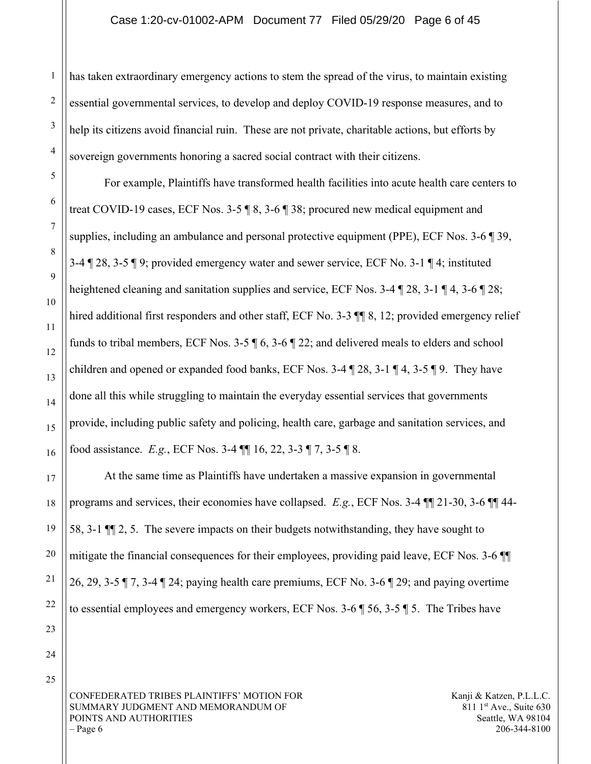has taken extraordinary emergency actions to stem the spread of the virus, to maintain existing essential governmental services, to develop and deploy COVID-19 response measures, and to help its citizens avoid financial ruin. These are not private, charitable actions, but efforts by sovereign governments honoring a sacred social contract with their citizens.

For example, Plaintiffs have transformed health facilities into acute health care centers to treat COVID-19 cases, ECF Nos. 3-5 ¶ 8, 3-6 ¶ 38; procured new medical equipment and supplies, including an ambulance and personal protective equipment (PPE), ECF Nos. 3-6 ¶ 39, 3-4 ¶ 28, 3-5 ¶ 9; provided emergency water and sewer service, ECF No. 3-1 ¶ 4; instituted heightened cleaning and sanitation supplies and service, ECF Nos. 3-4 ¶ 28, 3-1 ¶ 4, 3-6 ¶ 28; hired additional first responders and other staff, ECF No. 3-3  $\P$  8, 12; provided emergency relief funds to tribal members, ECF Nos. 3-5 ¶ 6, 3-6 ¶ 22; and delivered meals to elders and school children and opened or expanded food banks, ECF Nos. 3-4 ¶ 28, 3-1 ¶ 4, 3-5 ¶ 9. They have done all this while struggling to maintain the everyday essential services that governments provide, including public safety and policing, health care, garbage and sanitation services, and food assistance. E.g., ECF Nos. 3-4 ¶¶ 16, 22, 3-3 ¶ 7, 3-5 ¶ 8.

At the same time as Plaintiffs have undertaken a massive expansion in governmental programs and services, their economies have collapsed. E.g., ECF Nos. 3-4  $\P$  $121-30$ , 3-6  $\P$  $144-$ 58, 3-1 ¶¶ 2, 5. The severe impacts on their budgets notwithstanding, they have sought to mitigate the financial consequences for their employees, providing paid leave, ECF Nos. 3-6 ¶¶ 26, 29, 3-5  $\P$  7, 3-4  $\P$  24; paying health care premiums, ECF No. 3-6  $\P$  29; and paying overtime to essential employees and emergency workers, ECF Nos.  $3-6$  ,  $\frac{1}{3}$  56,  $3-5$  ,  $\frac{1}{3}$  5. The Tribes have

CONFEDERATED TRIBES PLAINTIFFS' MOTION FOR SUMMARY JUDGMENT AND MEMORANDUM OF POINTS AND AUTHORITIES  $-$  Page 6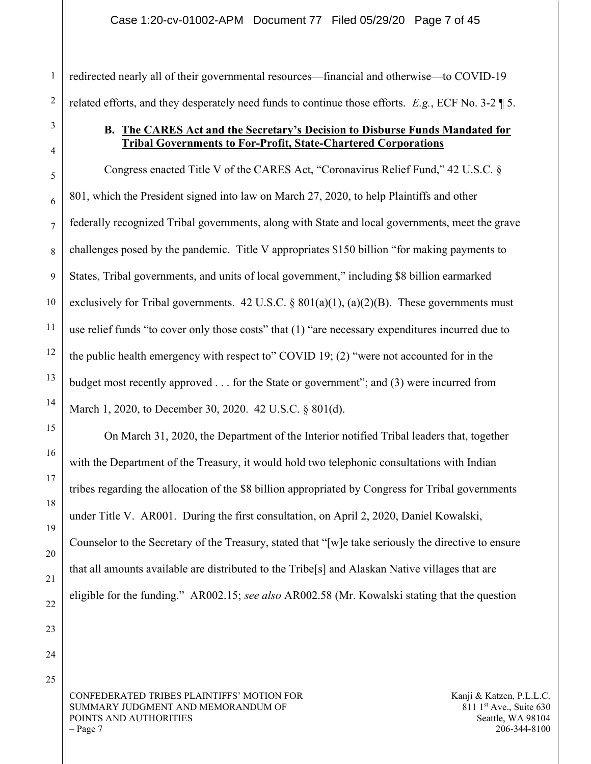#### Case 1:20-cv-01002-APM Document 77 Filed 05/29/20 Page 7 of 45

redirected nearly all of their governmental resources—financial and otherwise—to COVID-19 related efforts, and they desperately need funds to continue those efforts.  $E.g., ECF No. 3-2 \text{ } \text{\textdegree}$ 

### B. The CARES Act and the Secretary's Decision to Disburse Funds Mandated for Tribal Governments to For-Profit, State-Chartered Corporations

Congress enacted Title V of the CARES Act, "Coronavirus Relief Fund," 42 U.S.C. § 801, which the President signed into law on March 27, 2020, to help Plaintiffs and other federally recognized Tribal governments, along with State and local governments, meet the grave challenges posed by the pandemic. Title V appropriates \$150 billion "for making payments to States, Tribal governments, and units of local government," including \$8 billion earmarked exclusively for Tribal governments. 42 U.S.C.  $\S 801(a)(1)$ ,  $(a)(2)(B)$ . These governments must use relief funds "to cover only those costs" that (1) "are necessary expenditures incurred due to the public health emergency with respect to" COVID 19; (2) "were not accounted for in the budget most recently approved . . . for the State or government"; and (3) were incurred from March 1, 2020, to December 30, 2020. 42 U.S.C. § 801(d).

On March 31, 2020, the Department of the Interior notified Tribal leaders that, together with the Department of the Treasury, it would hold two telephonic consultations with Indian tribes regarding the allocation of the \$8 billion appropriated by Congress for Tribal governments under Title V. AR001. During the first consultation, on April 2, 2020, Daniel Kowalski, Counselor to the Secretary of the Treasury, stated that "[w]e take seriously the directive to ensure that all amounts available are distributed to the Tribe[s] and Alaskan Native villages that are eligible for the funding." AR002.15; see also AR002.58 (Mr. Kowalski stating that the question

25

CONFEDERATED TRIBES PLAINTIFFS' MOTION FOR SUMMARY JUDGMENT AND MEMORANDUM OF POINTS AND AUTHORITIES  $-$  Page 7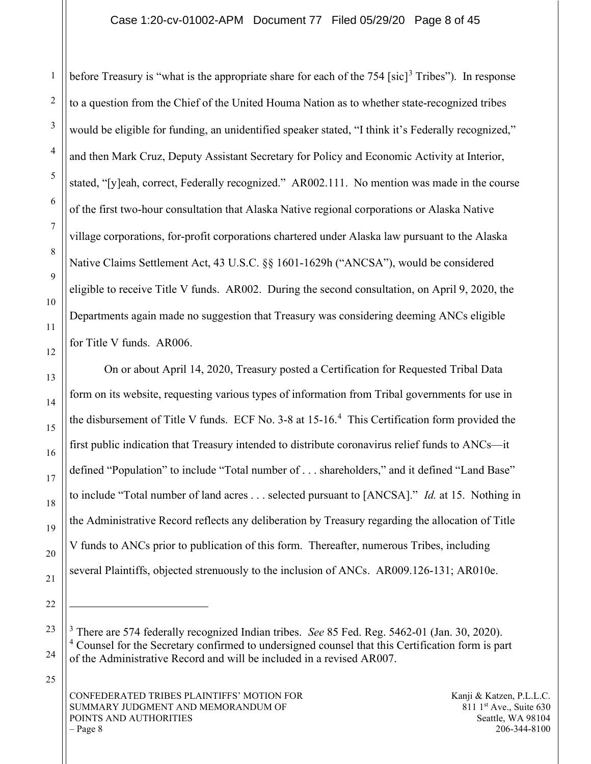before Treasury is "what is the appropriate share for each of the  $754$  [sic]<sup>3</sup> Tribes"). In response to a question from the Chief of the United Houma Nation as to whether state-recognized tribes would be eligible for funding, an unidentified speaker stated, "I think it's Federally recognized," and then Mark Cruz, Deputy Assistant Secretary for Policy and Economic Activity at Interior, stated, "[y]eah, correct, Federally recognized." AR002.111. No mention was made in the course of the first two-hour consultation that Alaska Native regional corporations or Alaska Native village corporations, for-profit corporations chartered under Alaska law pursuant to the Alaska Native Claims Settlement Act, 43 U.S.C. §§ 1601-1629h ("ANCSA"), would be considered eligible to receive Title V funds. AR002. During the second consultation, on April 9, 2020, the Departments again made no suggestion that Treasury was considering deeming ANCs eligible for Title V funds. AR006.

On or about April 14, 2020, Treasury posted a Certification for Requested Tribal Data form on its website, requesting various types of information from Tribal governments for use in the disbursement of Title V funds. ECF No. 3-8 at  $15{\text -}16$ .<sup>4</sup> This Certification form provided the first public indication that Treasury intended to distribute coronavirus relief funds to ANCs—it defined "Population" to include "Total number of . . . shareholders," and it defined "Land Base" to include "Total number of land acres . . . selected pursuant to [ANCSA]." *Id.* at 15. Nothing in the Administrative Record reflects any deliberation by Treasury regarding the allocation of Title V funds to ANCs prior to publication of this form. Thereafter, numerous Tribes, including several Plaintiffs, objected strenuously to the inclusion of ANCs. AR009.126-131; AR010e.

 $3$  There are 574 federally recognized Indian tribes. See 85 Fed. Reg. 5462-01 (Jan. 30, 2020). <sup>4</sup> Counsel for the Secretary confirmed to undersigned counsel that this Certification form is part of the Administrative Record and will be included in a revised AR007.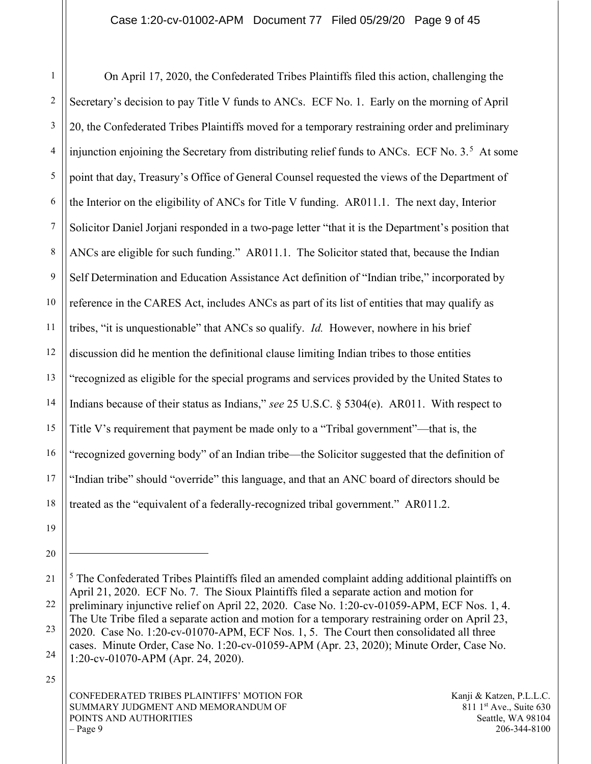1 2 3 4 5 6 7 8 9 10 11 12 13 14 15 16 17 18 On April 17, 2020, the Confederated Tribes Plaintiffs filed this action, challenging the Secretary's decision to pay Title V funds to ANCs. ECF No. 1. Early on the morning of April 20, the Confederated Tribes Plaintiffs moved for a temporary restraining order and preliminary injunction enjoining the Secretary from distributing relief funds to ANCs. ECF No.  $3.5$  At some point that day, Treasury's Office of General Counsel requested the views of the Department of the Interior on the eligibility of ANCs for Title V funding. AR011.1. The next day, Interior Solicitor Daniel Jorjani responded in a two-page letter "that it is the Department's position that ANCs are eligible for such funding." AR011.1. The Solicitor stated that, because the Indian Self Determination and Education Assistance Act definition of "Indian tribe," incorporated by reference in the CARES Act, includes ANCs as part of its list of entities that may qualify as tribes, "it is unquestionable" that ANCs so qualify. Id. However, nowhere in his brief discussion did he mention the definitional clause limiting Indian tribes to those entities "recognized as eligible for the special programs and services provided by the United States to Indians because of their status as Indians," see 25 U.S.C. § 5304(e). AR011. With respect to Title V's requirement that payment be made only to a "Tribal government"—that is, the "recognized governing body" of an Indian tribe—the Solicitor suggested that the definition of "Indian tribe" should "override" this language, and that an ANC board of directors should be treated as the "equivalent of a federally-recognized tribal government." AR011.2.

19

<sup>20</sup>

<sup>21</sup> 22 23 24 <sup>5</sup> The Confederated Tribes Plaintiffs filed an amended complaint adding additional plaintiffs on April 21, 2020. ECF No. 7. The Sioux Plaintiffs filed a separate action and motion for preliminary injunctive relief on April 22, 2020. Case No. 1:20-cv-01059-APM, ECF Nos. 1, 4. The Ute Tribe filed a separate action and motion for a temporary restraining order on April 23, 2020. Case No. 1:20-cv-01070-APM, ECF Nos. 1, 5. The Court then consolidated all three cases. Minute Order, Case No. 1:20-cv-01059-APM (Apr. 23, 2020); Minute Order, Case No. 1:20-cv-01070-APM (Apr. 24, 2020).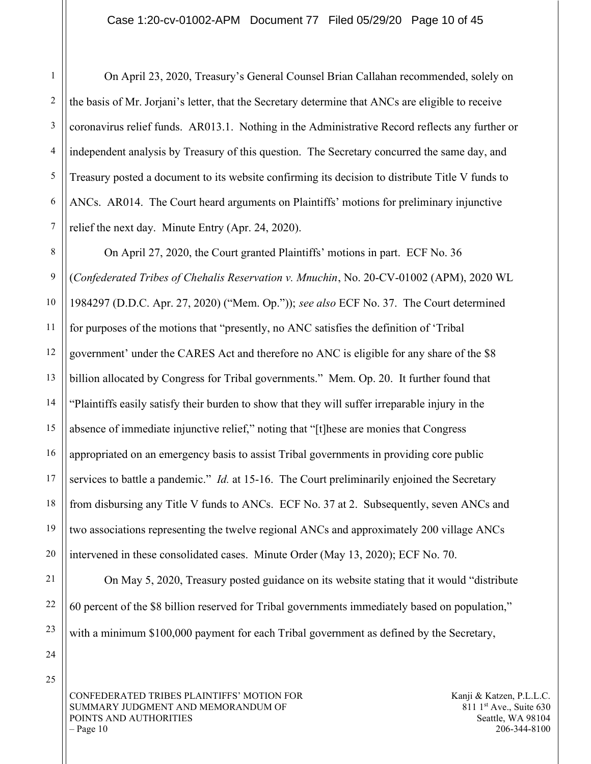On April 23, 2020, Treasury's General Counsel Brian Callahan recommended, solely on the basis of Mr. Jorjani's letter, that the Secretary determine that ANCs are eligible to receive coronavirus relief funds. AR013.1. Nothing in the Administrative Record reflects any further or independent analysis by Treasury of this question. The Secretary concurred the same day, and Treasury posted a document to its website confirming its decision to distribute Title V funds to ANCs. AR014. The Court heard arguments on Plaintiffs' motions for preliminary injunctive relief the next day. Minute Entry (Apr. 24, 2020).

8 10 12 13 14 15 16 17 18 19 20 On April 27, 2020, the Court granted Plaintiffs' motions in part. ECF No. 36 (Confederated Tribes of Chehalis Reservation v. Mnuchin, No. 20-CV-01002 (APM), 2020 WL 1984297 (D.D.C. Apr. 27, 2020) ("Mem. Op.")); see also ECF No. 37. The Court determined for purposes of the motions that "presently, no ANC satisfies the definition of 'Tribal government' under the CARES Act and therefore no ANC is eligible for any share of the \$8 billion allocated by Congress for Tribal governments." Mem. Op. 20. It further found that "Plaintiffs easily satisfy their burden to show that they will suffer irreparable injury in the absence of immediate injunctive relief," noting that "[t]hese are monies that Congress appropriated on an emergency basis to assist Tribal governments in providing core public services to battle a pandemic." *Id.* at 15-16. The Court preliminarily enjoined the Secretary from disbursing any Title V funds to ANCs. ECF No. 37 at 2. Subsequently, seven ANCs and two associations representing the twelve regional ANCs and approximately 200 village ANCs intervened in these consolidated cases. Minute Order (May 13, 2020); ECF No. 70.

On May 5, 2020, Treasury posted guidance on its website stating that it would "distribute 60 percent of the \$8 billion reserved for Tribal governments immediately based on population," with a minimum \$100,000 payment for each Tribal government as defined by the Secretary,

24 25

21

22

23

1

2

3

4

5

6

7

9

11

CONFEDERATED TRIBES PLAINTIFFS' MOTION FOR SUMMARY JUDGMENT AND MEMORANDUM OF POINTS AND AUTHORITIES  $-$  Page 10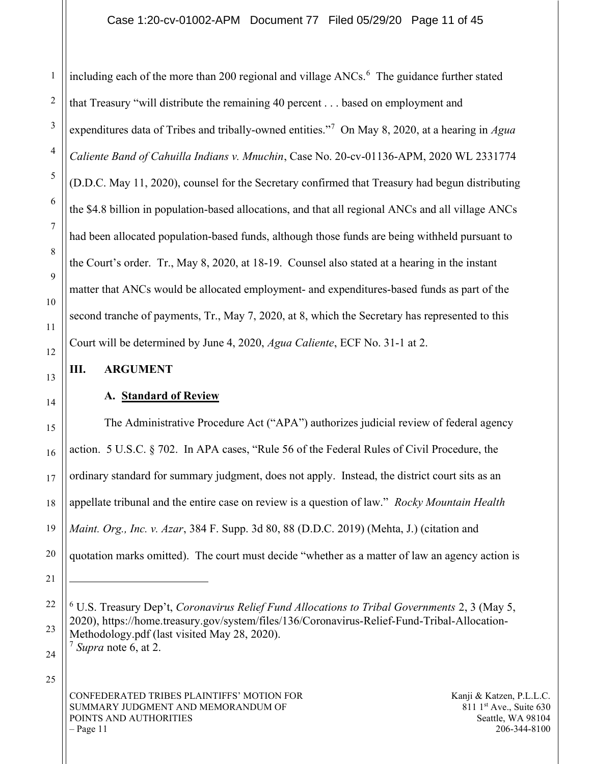including each of the more than 200 regional and village  $ANCs$ . The guidance further stated that Treasury "will distribute the remaining 40 percent . . . based on employment and expenditures data of Tribes and tribally-owned entities."<sup>7</sup> On May 8, 2020, at a hearing in Agua Caliente Band of Cahuilla Indians v. Mnuchin, Case No. 20-cv-01136-APM, 2020 WL 2331774 (D.D.C. May 11, 2020), counsel for the Secretary confirmed that Treasury had begun distributing the \$4.8 billion in population-based allocations, and that all regional ANCs and all village ANCs had been allocated population-based funds, although those funds are being withheld pursuant to the Court's order. Tr., May 8, 2020, at 18-19. Counsel also stated at a hearing in the instant matter that ANCs would be allocated employment- and expenditures-based funds as part of the second tranche of payments, Tr., May 7, 2020, at 8, which the Secretary has represented to this Court will be determined by June 4, 2020, Agua Caliente, ECF No. 31-1 at 2.

#### III. ARGUMENT

## A. Standard of Review

The Administrative Procedure Act ("APA") authorizes judicial review of federal agency action. 5 U.S.C. § 702. In APA cases, "Rule 56 of the Federal Rules of Civil Procedure, the ordinary standard for summary judgment, does not apply. Instead, the district court sits as an appellate tribunal and the entire case on review is a question of law." Rocky Mountain Health Maint. Org., Inc. v. Azar, 384 F. Supp. 3d 80, 88 (D.D.C. 2019) (Mehta, J.) (citation and quotation marks omitted). The court must decide "whether as a matter of law an agency action is

25

 $6$  U.S. Treasury Dep't, Coronavirus Relief Fund Allocations to Tribal Governments 2, 3 (May 5, 2020), https://home.treasury.gov/system/files/136/Coronavirus-Relief-Fund-Tribal-Allocation-Methodology.pdf (last visited May 28, 2020).

 $7$  Supra note 6, at 2.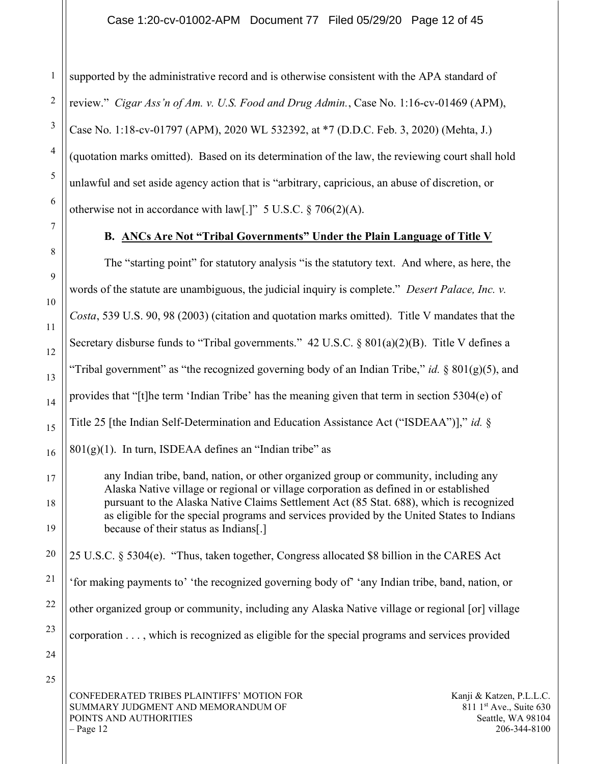1

supported by the administrative record and is otherwise consistent with the APA standard of review." Cigar Ass'n of Am. v. U.S. Food and Drug Admin., Case No. 1:16-cv-01469 (APM), Case No. 1:18-cv-01797 (APM), 2020 WL 532392, at \*7 (D.D.C. Feb. 3, 2020) (Mehta, J.) (quotation marks omitted). Based on its determination of the law, the reviewing court shall hold unlawful and set aside agency action that is "arbitrary, capricious, an abuse of discretion, or otherwise not in accordance with law[.]"  $5 \text{ U.S.C.}$  § 706(2)(A).

#### B. ANCs Are Not "Tribal Governments" Under the Plain Language of Title V

The "starting point" for statutory analysis "is the statutory text. And where, as here, the words of the statute are unambiguous, the judicial inquiry is complete." *Desert Palace, Inc. v.* Costa, 539 U.S. 90, 98 (2003) (citation and quotation marks omitted). Title V mandates that the Secretary disburse funds to "Tribal governments." 42 U.S.C. § 801(a)(2)(B). Title V defines a "Tribal government" as "the recognized governing body of an Indian Tribe," id. §  $801(g)(5)$ , and provides that "[t]he term 'Indian Tribe' has the meaning given that term in section 5304(e) of Title 25 [the Indian Self-Determination and Education Assistance Act ("ISDEAA")]," id. §  $801(g)(1)$ . In turn, ISDEAA defines an "Indian tribe" as

any Indian tribe, band, nation, or other organized group or community, including any Alaska Native village or regional or village corporation as defined in or established pursuant to the Alaska Native Claims Settlement Act (85 Stat. 688), which is recognized as eligible for the special programs and services provided by the United States to Indians because of their status as Indians[.]

25 U.S.C. § 5304(e). "Thus, taken together, Congress allocated \$8 billion in the CARES Act 'for making payments to' 'the recognized governing body of' 'any Indian tribe, band, nation, or other organized group or community, including any Alaska Native village or regional [or] village corporation . . . , which is recognized as eligible for the special programs and services provided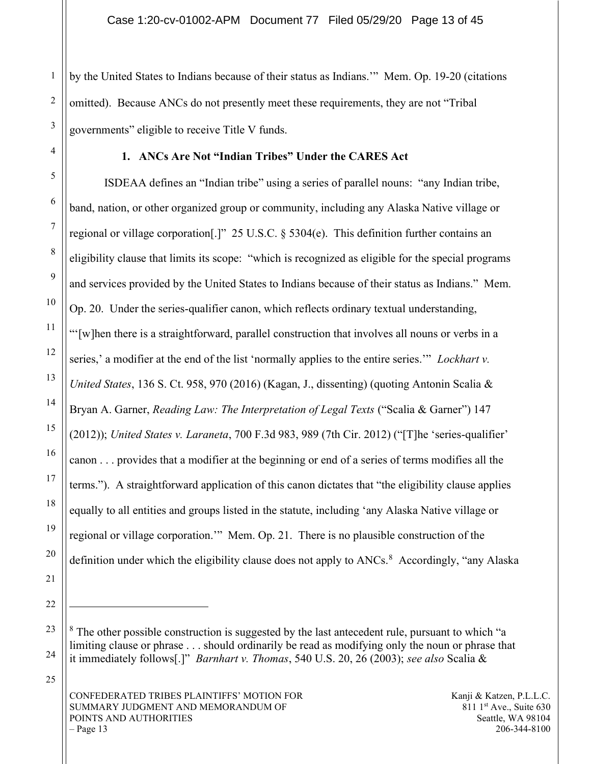by the United States to Indians because of their status as Indians.'" Mem. Op. 19-20 (citations omitted). Because ANCs do not presently meet these requirements, they are not "Tribal governments" eligible to receive Title V funds.

#### 1. ANCs Are Not "Indian Tribes" Under the CARES Act

ISDEAA defines an "Indian tribe" using a series of parallel nouns: "any Indian tribe, band, nation, or other organized group or community, including any Alaska Native village or regional or village corporation[.]" 25 U.S.C. § 5304(e). This definition further contains an eligibility clause that limits its scope: "which is recognized as eligible for the special programs and services provided by the United States to Indians because of their status as Indians." Mem. Op. 20. Under the series-qualifier canon, which reflects ordinary textual understanding, "'[w]hen there is a straightforward, parallel construction that involves all nouns or verbs in a series,' a modifier at the end of the list 'normally applies to the entire series.'" Lockhart v. United States, 136 S. Ct. 958, 970 (2016) (Kagan, J., dissenting) (quoting Antonin Scalia & Bryan A. Garner, *Reading Law: The Interpretation of Legal Texts* ("Scalia & Garner") 147 (2012)); United States v. Laraneta, 700 F.3d 983, 989 (7th Cir. 2012) ("[T]he 'series-qualifier' canon . . . provides that a modifier at the beginning or end of a series of terms modifies all the terms."). A straightforward application of this canon dictates that "the eligibility clause applies equally to all entities and groups listed in the statute, including 'any Alaska Native village or regional or village corporation.'" Mem. Op. 21. There is no plausible construction of the definition under which the eligibility clause does not apply to ANCs.<sup>8</sup> Accordingly, "any Alaska

 $8$  The other possible construction is suggested by the last antecedent rule, pursuant to which "a limiting clause or phrase . . . should ordinarily be read as modifying only the noun or phrase that it immediately follows[.]" Barnhart v. Thomas, 540 U.S. 20, 26 (2003); see also Scalia &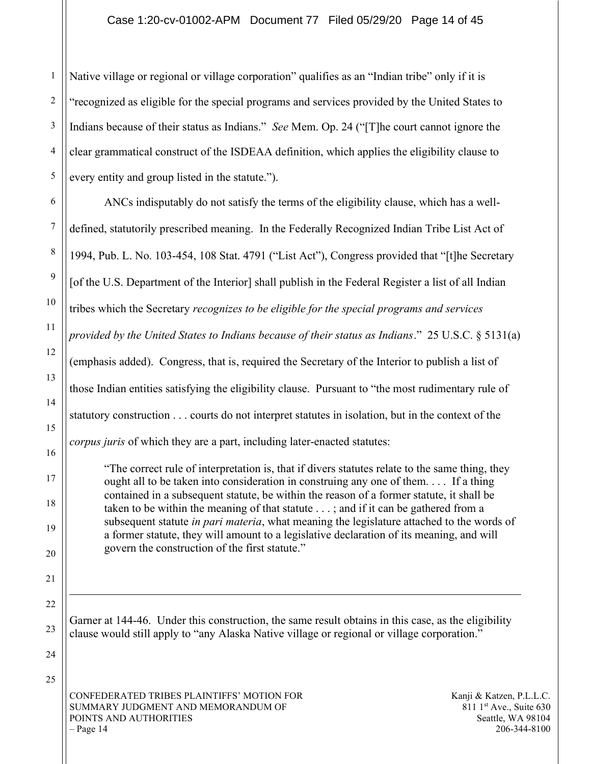#### Case 1:20-cv-01002-APM Document 77 Filed 05/29/20 Page 14 of 45

1 Native village or regional or village corporation" qualifies as an "Indian tribe" only if it is "recognized as eligible for the special programs and services provided by the United States to Indians because of their status as Indians." See Mem. Op. 24 ("[T]he court cannot ignore the clear grammatical construct of the ISDEAA definition, which applies the eligibility clause to every entity and group listed in the statute.").

ANCs indisputably do not satisfy the terms of the eligibility clause, which has a welldefined, statutorily prescribed meaning. In the Federally Recognized Indian Tribe List Act of 1994, Pub. L. No. 103-454, 108 Stat. 4791 ("List Act"), Congress provided that "[t]he Secretary [of the U.S. Department of the Interior] shall publish in the Federal Register a list of all Indian tribes which the Secretary recognizes to be eligible for the special programs and services provided by the United States to Indians because of their status as Indians." 25 U.S.C. § 5131(a) (emphasis added). Congress, that is, required the Secretary of the Interior to publish a list of those Indian entities satisfying the eligibility clause. Pursuant to "the most rudimentary rule of statutory construction . . . courts do not interpret statutes in isolation, but in the context of the corpus juris of which they are a part, including later-enacted statutes:

"The correct rule of interpretation is, that if divers statutes relate to the same thing, they ought all to be taken into consideration in construing any one of them. . . . If a thing contained in a subsequent statute, be within the reason of a former statute, it shall be taken to be within the meaning of that statute . . . ; and if it can be gathered from a subsequent statute *in pari materia*, what meaning the legislature attached to the words of a former statute, they will amount to a legislative declaration of its meaning, and will govern the construction of the first statute."

Garner at 144-46. Under this construction, the same result obtains in this case, as the eligibility clause would still apply to "any Alaska Native village or regional or village corporation."

CONFEDERATED TRIBES PLAINTIFFS' MOTION FOR SUMMARY JUDGMENT AND MEMORANDUM OF POINTS AND AUTHORITIES  $-$  Page 14

Kanji & Katzen, P.L.L.C.  $811 \text{ 1}$ st Ave., Suite 630 Seattle, WA 98104 206-344-8100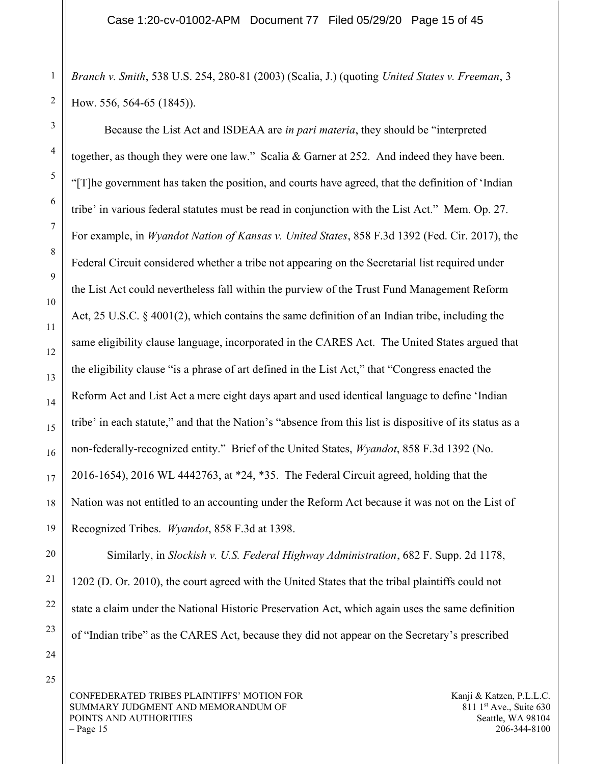Branch v. Smith, 538 U.S. 254, 280-81 (2003) (Scalia, J.) (quoting United States v. Freeman, 3 How. 556, 564-65 (1845)).

Because the List Act and ISDEAA are *in pari materia*, they should be "interpreted" together, as though they were one law." Scalia & Garner at 252. And indeed they have been. "[T]he government has taken the position, and courts have agreed, that the definition of 'Indian tribe' in various federal statutes must be read in conjunction with the List Act." Mem. Op. 27. For example, in Wyandot Nation of Kansas v. United States, 858 F.3d 1392 (Fed. Cir. 2017), the Federal Circuit considered whether a tribe not appearing on the Secretarial list required under the List Act could nevertheless fall within the purview of the Trust Fund Management Reform Act, 25 U.S.C. § 4001(2), which contains the same definition of an Indian tribe, including the same eligibility clause language, incorporated in the CARES Act. The United States argued that the eligibility clause "is a phrase of art defined in the List Act," that "Congress enacted the Reform Act and List Act a mere eight days apart and used identical language to define 'Indian tribe' in each statute," and that the Nation's "absence from this list is dispositive of its status as a non-federally-recognized entity." Brief of the United States, Wyandot, 858 F.3d 1392 (No. 2016-1654), 2016 WL 4442763, at \*24, \*35. The Federal Circuit agreed, holding that the Nation was not entitled to an accounting under the Reform Act because it was not on the List of Recognized Tribes. Wyandot, 858 F.3d at 1398.

 Similarly, in Slockish v. U.S. Federal Highway Administration, 682 F. Supp. 2d 1178, 1202 (D. Or. 2010), the court agreed with the United States that the tribal plaintiffs could not state a claim under the National Historic Preservation Act, which again uses the same definition of "Indian tribe" as the CARES Act, because they did not appear on the Secretary's prescribed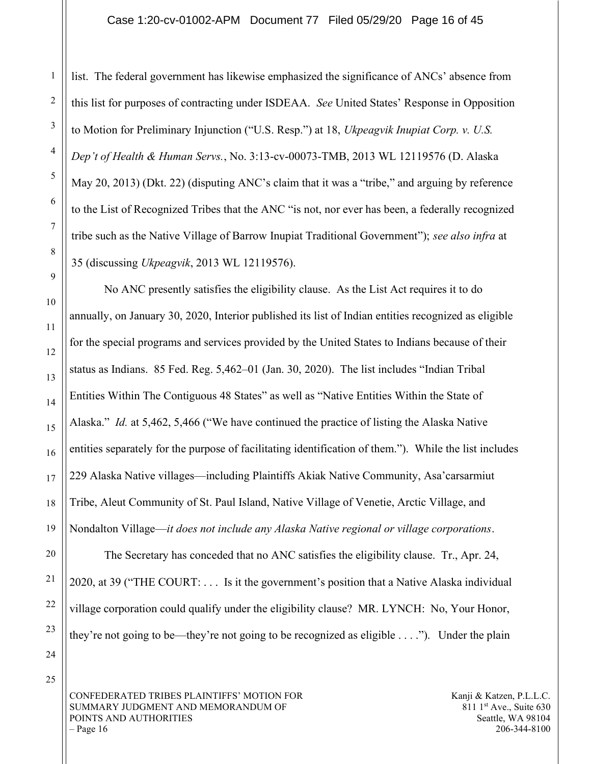list. The federal government has likewise emphasized the significance of ANCs' absence from this list for purposes of contracting under ISDEAA. See United States' Response in Opposition to Motion for Preliminary Injunction ("U.S. Resp.") at 18, Ukpeagvik Inupiat Corp. v. U.S. Dep't of Health & Human Servs., No. 3:13-cv-00073-TMB, 2013 WL 12119576 (D. Alaska May 20, 2013) (Dkt. 22) (disputing ANC's claim that it was a "tribe," and arguing by reference to the List of Recognized Tribes that the ANC "is not, nor ever has been, a federally recognized tribe such as the Native Village of Barrow Inupiat Traditional Government"); see also infra at 35 (discussing Ukpeagvik, 2013 WL 12119576).

No ANC presently satisfies the eligibility clause. As the List Act requires it to do annually, on January 30, 2020, Interior published its list of Indian entities recognized as eligible for the special programs and services provided by the United States to Indians because of their status as Indians. 85 Fed. Reg. 5,462–01 (Jan. 30, 2020). The list includes "Indian Tribal Entities Within The Contiguous 48 States" as well as "Native Entities Within the State of Alaska." *Id.* at 5,462, 5,466 ("We have continued the practice of listing the Alaska Native entities separately for the purpose of facilitating identification of them."). While the list includes 229 Alaska Native villages—including Plaintiffs Akiak Native Community, Asa'carsarmiut Tribe, Aleut Community of St. Paul Island, Native Village of Venetie, Arctic Village, and Nondalton Village—it does not include any Alaska Native regional or village corporations.

The Secretary has conceded that no ANC satisfies the eligibility clause. Tr., Apr. 24, 2020, at 39 ("THE COURT: . . . Is it the government's position that a Native Alaska individual village corporation could qualify under the eligibility clause? MR. LYNCH: No, Your Honor, they're not going to be—they're not going to be recognized as eligible  $\dots$ ."). Under the plain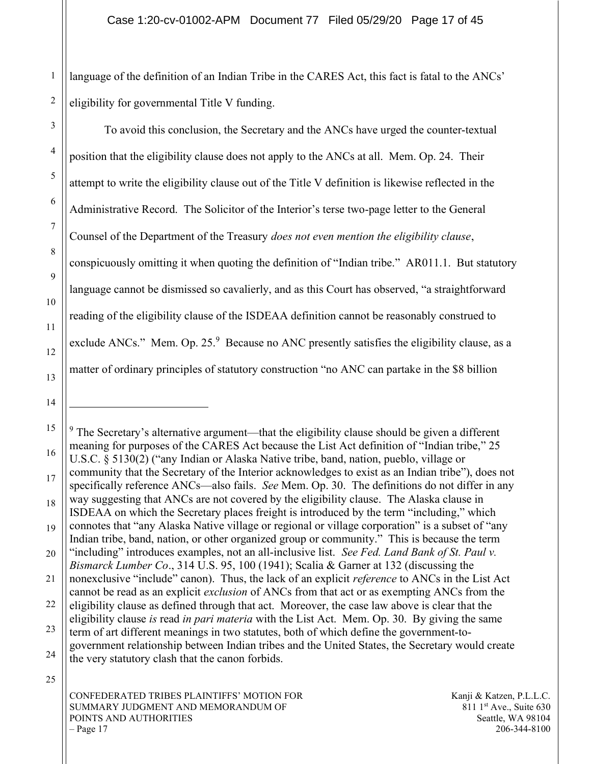1 2 language of the definition of an Indian Tribe in the CARES Act, this fact is fatal to the ANCs' eligibility for governmental Title V funding.

To avoid this conclusion, the Secretary and the ANCs have urged the counter-textual position that the eligibility clause does not apply to the ANCs at all. Mem. Op. 24. Their attempt to write the eligibility clause out of the Title V definition is likewise reflected in the Administrative Record. The Solicitor of the Interior's terse two-page letter to the General Counsel of the Department of the Treasury *does not even mention the eligibility clause*, conspicuously omitting it when quoting the definition of "Indian tribe." AR011.1. But statutory language cannot be dismissed so cavalierly, and as this Court has observed, "a straightforward reading of the eligibility clause of the ISDEAA definition cannot be reasonably construed to exclude ANCs." Mem. Op. 25. $9$  Because no ANC presently satisfies the eligibility clause, as a matter of ordinary principles of statutory construction "no ANC can partake in the \$8 billion

22 23 24  $9$  The Secretary's alternative argument—that the eligibility clause should be given a different meaning for purposes of the CARES Act because the List Act definition of "Indian tribe," 25 U.S.C. § 5130(2) ("any Indian or Alaska Native tribe, band, nation, pueblo, village or community that the Secretary of the Interior acknowledges to exist as an Indian tribe"), does not specifically reference ANCs—also fails. See Mem. Op. 30. The definitions do not differ in any way suggesting that ANCs are not covered by the eligibility clause. The Alaska clause in ISDEAA on which the Secretary places freight is introduced by the term "including," which connotes that "any Alaska Native village or regional or village corporation" is a subset of "any Indian tribe, band, nation, or other organized group or community." This is because the term "including" introduces examples, not an all-inclusive list. See Fed. Land Bank of St. Paul v. Bismarck Lumber Co., 314 U.S. 95, 100 (1941); Scalia & Garner at 132 (discussing the nonexclusive "include" canon). Thus, the lack of an explicit *reference* to ANCs in the List Act cannot be read as an explicit exclusion of ANCs from that act or as exempting ANCs from the eligibility clause as defined through that act. Moreover, the case law above is clear that the eligibility clause is read in pari materia with the List Act. Mem. Op. 30. By giving the same term of art different meanings in two statutes, both of which define the government-togovernment relationship between Indian tribes and the United States, the Secretary would create the very statutory clash that the canon forbids.

CONFEDERATED TRIBES PLAINTIFFS' MOTION FOR SUMMARY JUDGMENT AND MEMORANDUM OF POINTS AND AUTHORITIES  $-$  Page 17

Kanji & Katzen, P.L.L.C.  $811 \text{ 1}$ st Ave., Suite 630 Seattle, WA 98104 206-344-8100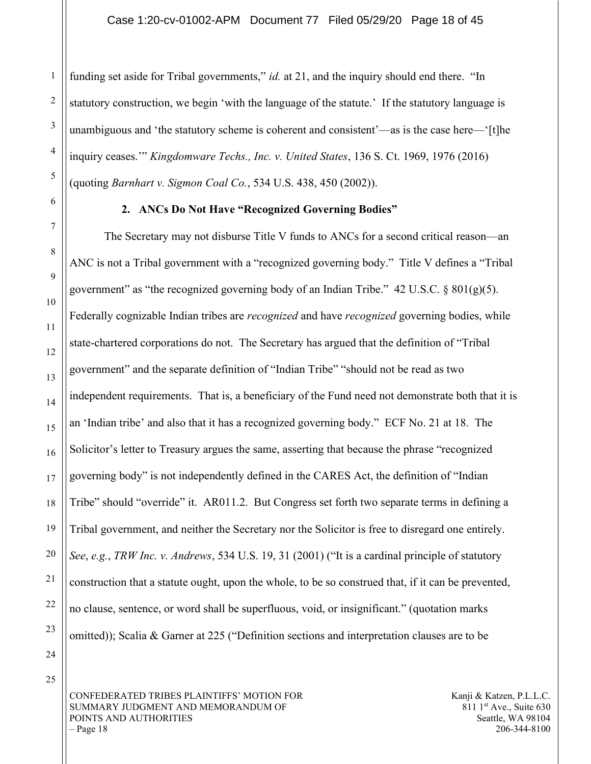funding set aside for Tribal governments," id. at 21, and the inquiry should end there. "In statutory construction, we begin 'with the language of the statute.' If the statutory language is unambiguous and 'the statutory scheme is coherent and consistent'—as is the case here—'[t]he inquiry ceases." Kingdomware Techs., Inc. v. United States, 136 S. Ct. 1969, 1976 (2016) (quoting Barnhart v. Sigmon Coal Co., 534 U.S. 438, 450 (2002)).

#### 2. ANCs Do Not Have "Recognized Governing Bodies"

The Secretary may not disburse Title V funds to ANCs for a second critical reason—an ANC is not a Tribal government with a "recognized governing body." Title V defines a "Tribal government" as "the recognized governing body of an Indian Tribe."  $42 \text{ U.S.C.}$  §  $801(g)(5)$ . Federally cognizable Indian tribes are *recognized* and have *recognized* governing bodies, while state-chartered corporations do not. The Secretary has argued that the definition of "Tribal government" and the separate definition of "Indian Tribe" "should not be read as two independent requirements. That is, a beneficiary of the Fund need not demonstrate both that it is an 'Indian tribe' and also that it has a recognized governing body." ECF No. 21 at 18. The Solicitor's letter to Treasury argues the same, asserting that because the phrase "recognized governing body" is not independently defined in the CARES Act, the definition of "Indian Tribe" should "override" it. AR011.2. But Congress set forth two separate terms in defining a Tribal government, and neither the Secretary nor the Solicitor is free to disregard one entirely. See, e.g., TRW Inc. v. Andrews, 534 U.S. 19, 31 (2001) ("It is a cardinal principle of statutory construction that a statute ought, upon the whole, to be so construed that, if it can be prevented, no clause, sentence, or word shall be superfluous, void, or insignificant." (quotation marks omitted)); Scalia & Garner at 225 ("Definition sections and interpretation clauses are to be

24 25

1

2

3

4

5

6

7

8

9

10

11

12

13

14

15

16

17

18

19

20

21

22

23

CONFEDERATED TRIBES PLAINTIFFS' MOTION FOR SUMMARY JUDGMENT AND MEMORANDUM OF POINTS AND AUTHORITIES  $-$  Page 18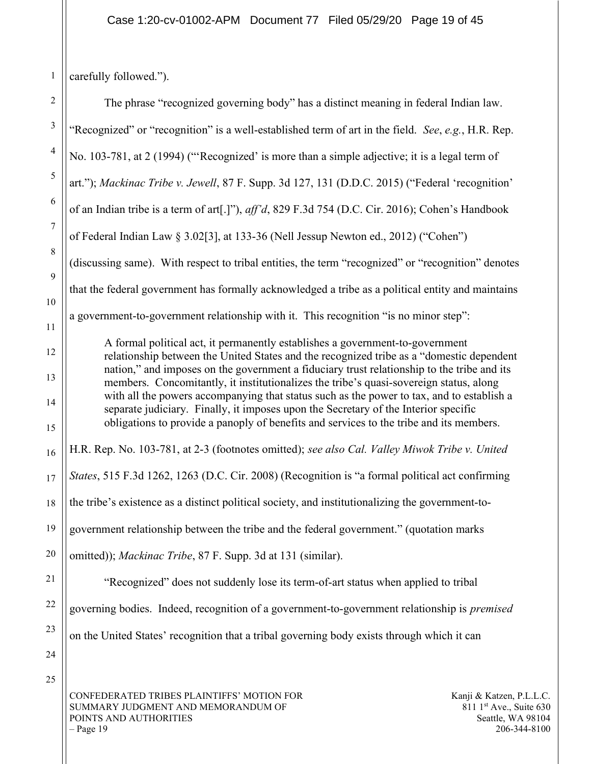$-$  Page 19

| 1                | carefully followed.").                                                                                                                                                                 |  |
|------------------|----------------------------------------------------------------------------------------------------------------------------------------------------------------------------------------|--|
| $\overline{c}$   | The phrase "recognized governing body" has a distinct meaning in federal Indian law.                                                                                                   |  |
| $\mathfrak{Z}$   | "Recognized" or "recognition" is a well-established term of art in the field. See, e.g., H.R. Rep.                                                                                     |  |
| 4                | No. 103-781, at 2 (1994) ("Recognized' is more than a simple adjective; it is a legal term of                                                                                          |  |
| 5                | art."); Mackinac Tribe v. Jewell, 87 F. Supp. 3d 127, 131 (D.D.C. 2015) ("Federal 'recognition'                                                                                        |  |
| 6                | of an Indian tribe is a term of art[.]"), aff'd, 829 F.3d 754 (D.C. Cir. 2016); Cohen's Handbook                                                                                       |  |
| $\boldsymbol{7}$ | of Federal Indian Law § 3.02[3], at 133-36 (Nell Jessup Newton ed., 2012) ("Cohen")                                                                                                    |  |
| $\,$ 8 $\,$      | (discussing same). With respect to tribal entities, the term "recognized" or "recognition" denotes                                                                                     |  |
| 9<br>10          | that the federal government has formally acknowledged a tribe as a political entity and maintains                                                                                      |  |
| 11               | a government-to-government relationship with it. This recognition "is no minor step":                                                                                                  |  |
| 12               | A formal political act, it permanently establishes a government-to-government<br>relationship between the United States and the recognized tribe as a "domestic dependent              |  |
| 13               | nation," and imposes on the government a fiduciary trust relationship to the tribe and its<br>members. Concomitantly, it institutionalizes the tribe's quasi-sovereign status, along   |  |
| 14               | with all the powers accompanying that status such as the power to tax, and to establish a<br>separate judiciary. Finally, it imposes upon the Secretary of the Interior specific       |  |
| 15               | obligations to provide a panoply of benefits and services to the tribe and its members.                                                                                                |  |
| 16               | H.R. Rep. No. 103-781, at 2-3 (footnotes omitted); see also Cal. Valley Miwok Tribe v. United                                                                                          |  |
| 17               | States, 515 F.3d 1262, 1263 (D.C. Cir. 2008) (Recognition is "a formal political act confirming                                                                                        |  |
| 18               | the tribe's existence as a distinct political society, and institutionalizing the government-to-                                                                                       |  |
| 19               | government relationship between the tribe and the federal government." (quotation marks                                                                                                |  |
| 20               | omitted)); Mackinac Tribe, 87 F. Supp. 3d at 131 (similar).                                                                                                                            |  |
| 21               | "Recognized" does not suddenly lose its term-of-art status when applied to tribal                                                                                                      |  |
| 22               | governing bodies. Indeed, recognition of a government-to-government relationship is premised                                                                                           |  |
| 23               | on the United States' recognition that a tribal governing body exists through which it can                                                                                             |  |
| 24               |                                                                                                                                                                                        |  |
| 25               | CONFEDERATED TRIBES PLAINTIFFS' MOTION FOR<br>Kanji & Katzen, P.L.L.C.<br>811 1st Ave., Suite 630<br>SUMMARY JUDGMENT AND MEMORANDUM OF<br>POINTS AND AUTHORITIES<br>Seattle, WA 98104 |  |

206-344-8100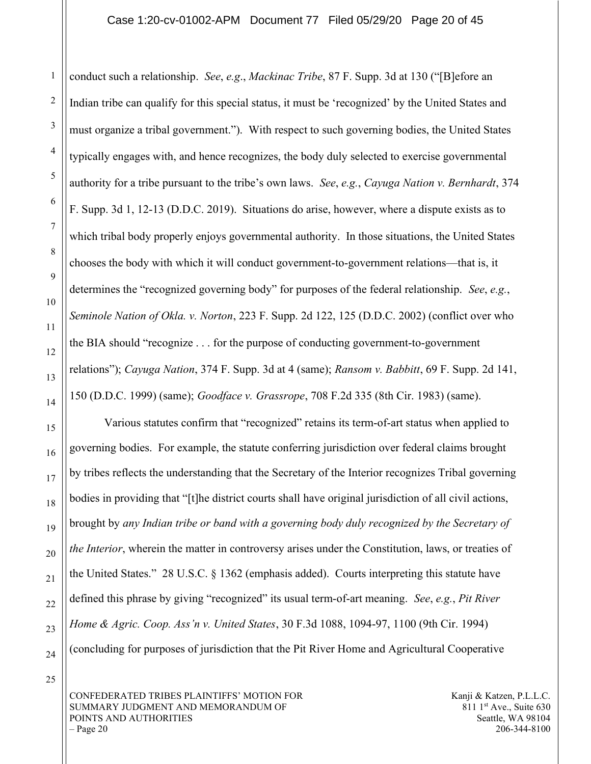#### Case 1:20-cv-01002-APM Document 77 Filed 05/29/20 Page 20 of 45

conduct such a relationship. See, e.g., Mackinac Tribe, 87 F. Supp. 3d at 130 ("[B]efore an Indian tribe can qualify for this special status, it must be 'recognized' by the United States and must organize a tribal government."). With respect to such governing bodies, the United States typically engages with, and hence recognizes, the body duly selected to exercise governmental authority for a tribe pursuant to the tribe's own laws. See, e.g., Cayuga Nation v. Bernhardt,  $374$ F. Supp. 3d 1, 12-13 (D.D.C. 2019). Situations do arise, however, where a dispute exists as to which tribal body properly enjoys governmental authority. In those situations, the United States chooses the body with which it will conduct government-to-government relations—that is, it determines the "recognized governing body" for purposes of the federal relationship. See, e.g., Seminole Nation of Okla. v. Norton, 223 F. Supp. 2d 122, 125 (D.D.C. 2002) (conflict over who the BIA should "recognize . . . for the purpose of conducting government-to-government relations"); Cayuga Nation, 374 F. Supp. 3d at 4 (same); Ransom v. Babbitt, 69 F. Supp. 2d 141, 150 (D.D.C. 1999) (same); Goodface v. Grassrope, 708 F.2d 335 (8th Cir. 1983) (same).

Various statutes confirm that "recognized" retains its term-of-art status when applied to governing bodies. For example, the statute conferring jurisdiction over federal claims brought by tribes reflects the understanding that the Secretary of the Interior recognizes Tribal governing bodies in providing that "[t]he district courts shall have original jurisdiction of all civil actions, brought by any Indian tribe or band with a governing body duly recognized by the Secretary of the Interior, wherein the matter in controversy arises under the Constitution, laws, or treaties of the United States." 28 U.S.C. § 1362 (emphasis added). Courts interpreting this statute have defined this phrase by giving "recognized" its usual term-of-art meaning. See, e.g., Pit River Home & Agric. Coop. Ass'n v. United States, 30 F.3d 1088, 1094-97, 1100 (9th Cir. 1994) (concluding for purposes of jurisdiction that the Pit River Home and Agricultural Cooperative

25

CONFEDERATED TRIBES PLAINTIFFS' MOTION FOR SUMMARY JUDGMENT AND MEMORANDUM OF POINTS AND AUTHORITIES  $-$  Page 20

Kanji & Katzen, P.L.L.C. 811 1<sup>st</sup> Ave., Suite 630 Seattle, WA 98104 206-344-8100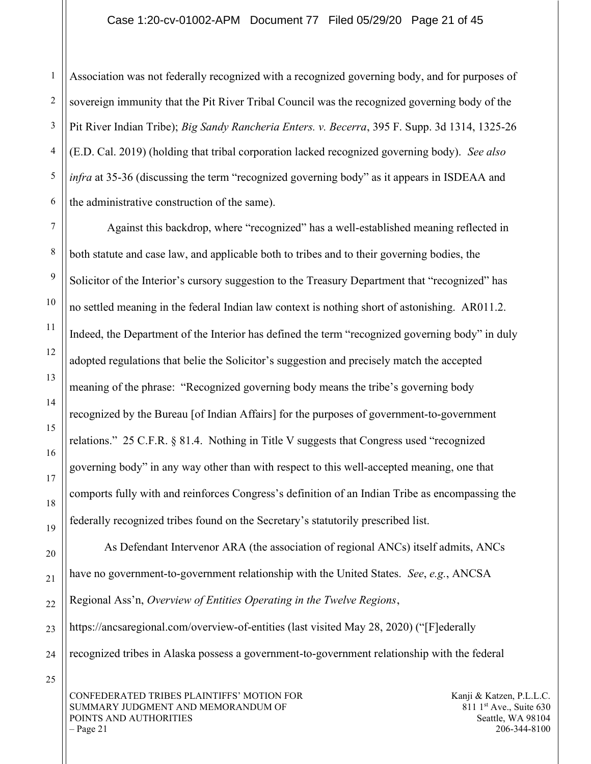3 4 6 Association was not federally recognized with a recognized governing body, and for purposes of sovereign immunity that the Pit River Tribal Council was the recognized governing body of the Pit River Indian Tribe); Big Sandy Rancheria Enters. v. Becerra, 395 F. Supp. 3d 1314, 1325-26 (E.D. Cal. 2019) (holding that tribal corporation lacked recognized governing body). See also infra at 35-36 (discussing the term "recognized governing body" as it appears in ISDEAA and the administrative construction of the same).

 Against this backdrop, where "recognized" has a well-established meaning reflected in both statute and case law, and applicable both to tribes and to their governing bodies, the Solicitor of the Interior's cursory suggestion to the Treasury Department that "recognized" has no settled meaning in the federal Indian law context is nothing short of astonishing. AR011.2. Indeed, the Department of the Interior has defined the term "recognized governing body" in duly adopted regulations that belie the Solicitor's suggestion and precisely match the accepted meaning of the phrase: "Recognized governing body means the tribe's governing body recognized by the Bureau [of Indian Affairs] for the purposes of government-to-government relations." 25 C.F.R. § 81.4. Nothing in Title V suggests that Congress used "recognized governing body" in any way other than with respect to this well-accepted meaning, one that comports fully with and reinforces Congress's definition of an Indian Tribe as encompassing the federally recognized tribes found on the Secretary's statutorily prescribed list.

20 21 22 23 24 As Defendant Intervenor ARA (the association of regional ANCs) itself admits, ANCs have no government-to-government relationship with the United States. See, e.g., ANCSA Regional Ass'n, Overview of Entities Operating in the Twelve Regions, https://ancsaregional.com/overview-of-entities (last visited May 28, 2020) ("[F]ederally

recognized tribes in Alaska possess a government-to-government relationship with the federal

25

1

2

5

7

8

9

10

11

12

13

14

15

16

17

18

19

CONFEDERATED TRIBES PLAINTIFFS' MOTION FOR SUMMARY JUDGMENT AND MEMORANDUM OF POINTS AND AUTHORITIES  $-$  Page 21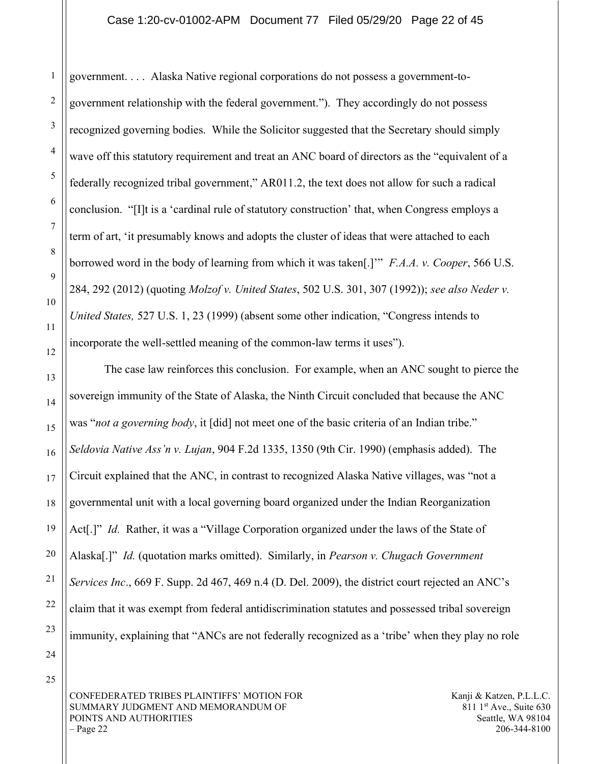government. . . . Alaska Native regional corporations do not possess a government-togovernment relationship with the federal government."). They accordingly do not possess recognized governing bodies. While the Solicitor suggested that the Secretary should simply wave off this statutory requirement and treat an ANC board of directors as the "equivalent of a federally recognized tribal government," AR011.2, the text does not allow for such a radical conclusion. "[I]t is a 'cardinal rule of statutory construction' that, when Congress employs a term of art, 'it presumably knows and adopts the cluster of ideas that were attached to each borrowed word in the body of learning from which it was taken.<sup>[1]</sup>" *F.A.A. v. Cooper*, 566 U.S. 284, 292 (2012) (quoting *Molzof v. United States, 502 U.S. 301, 307 (1992)); see also Neder v.* United States, 527 U.S. 1, 23 (1999) (absent some other indication, "Congress intends to incorporate the well-settled meaning of the common-law terms it uses").

The case law reinforces this conclusion. For example, when an ANC sought to pierce the sovereign immunity of the State of Alaska, the Ninth Circuit concluded that because the ANC was "*not a governing body*, it [did] not meet one of the basic criteria of an Indian tribe." Seldovia Native Ass'n v. Lujan, 904 F.2d 1335, 1350 (9th Cir. 1990) (emphasis added). The Circuit explained that the ANC, in contrast to recognized Alaska Native villages, was "not a governmental unit with a local governing board organized under the Indian Reorganization Act<sup>[1]</sup>" *Id.* Rather, it was a "Village Corporation organized under the laws of the State of Alaska[.]" *Id.* (quotation marks omitted). Similarly, in *Pearson v. Chugach Government* Services Inc., 669 F. Supp. 2d 467, 469 n.4 (D. Del. 2009), the district court rejected an ANC's claim that it was exempt from federal antidiscrimination statutes and possessed tribal sovereign immunity, explaining that "ANCs are not federally recognized as a 'tribe' when they play no role

24

25

1

2

3

4

5

6

7

8

9

10

11

12

13

14

15

16

17

18

19

20

21

22

23

CONFEDERATED TRIBES PLAINTIFFS' MOTION FOR SUMMARY JUDGMENT AND MEMORANDUM OF POINTS AND AUTHORITIES  $-$  Page 22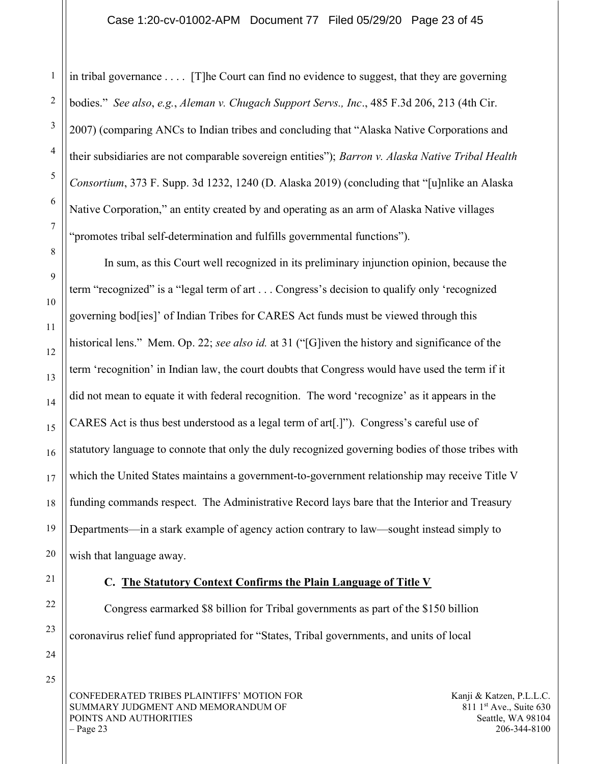#### Case 1:20-cv-01002-APM Document 77 Filed 05/29/20 Page 23 of 45

in tribal governance . . . . [T]he Court can find no evidence to suggest, that they are governing bodies." See also, e.g., Aleman v. Chugach Support Servs., Inc., 485 F.3d 206, 213 (4th Cir. 2007) (comparing ANCs to Indian tribes and concluding that "Alaska Native Corporations and their subsidiaries are not comparable sovereign entities"); Barron v. Alaska Native Tribal Health Consortium, 373 F. Supp. 3d 1232, 1240 (D. Alaska 2019) (concluding that "[u]nlike an Alaska Native Corporation," an entity created by and operating as an arm of Alaska Native villages "promotes tribal self-determination and fulfills governmental functions").

In sum, as this Court well recognized in its preliminary injunction opinion, because the term "recognized" is a "legal term of art . . . Congress's decision to qualify only 'recognized governing bod[ies]' of Indian Tribes for CARES Act funds must be viewed through this historical lens." Mem. Op. 22; see also id. at 31 ("[G]iven the history and significance of the term 'recognition' in Indian law, the court doubts that Congress would have used the term if it did not mean to equate it with federal recognition. The word 'recognize' as it appears in the CARES Act is thus best understood as a legal term of art[.]"). Congress's careful use of statutory language to connote that only the duly recognized governing bodies of those tribes with which the United States maintains a government-to-government relationship may receive Title V funding commands respect. The Administrative Record lays bare that the Interior and Treasury Departments—in a stark example of agency action contrary to law—sought instead simply to wish that language away.

#### C. The Statutory Context Confirms the Plain Language of Title V

Congress earmarked \$8 billion for Tribal governments as part of the \$150 billion coronavirus relief fund appropriated for "States, Tribal governments, and units of local

CONFEDERATED TRIBES PLAINTIFFS' MOTION FOR SUMMARY JUDGMENT AND MEMORANDUM OF POINTS AND AUTHORITIES  $-$  Page 23

Kanji & Katzen, P.L.L.C. 811 1<sup>st</sup> Ave., Suite 630 Seattle, WA 98104 206-344-8100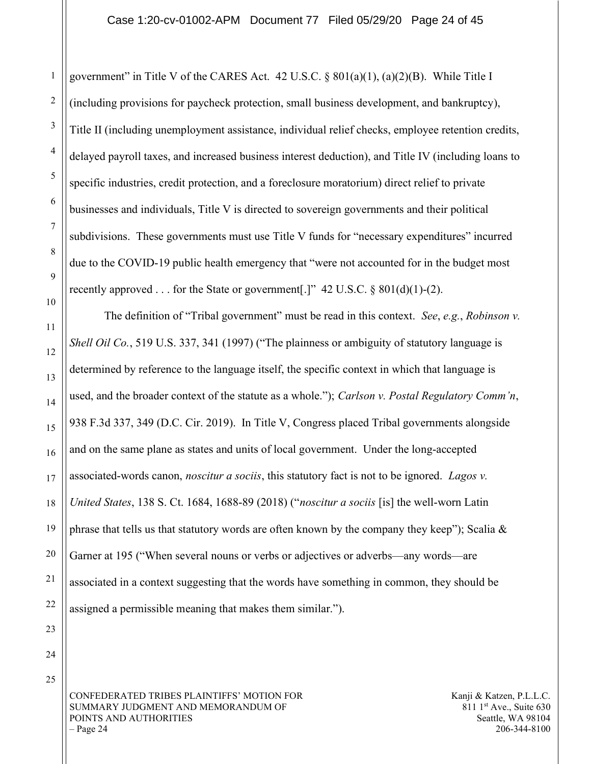government" in Title V of the CARES Act. 42 U.S.C.  $\S 801(a)(1)$ ,  $(a)(2)(B)$ . While Title I (including provisions for paycheck protection, small business development, and bankruptcy), Title II (including unemployment assistance, individual relief checks, employee retention credits, delayed payroll taxes, and increased business interest deduction), and Title IV (including loans to specific industries, credit protection, and a foreclosure moratorium) direct relief to private businesses and individuals, Title V is directed to sovereign governments and their political subdivisions. These governments must use Title V funds for "necessary expenditures" incurred due to the COVID-19 public health emergency that "were not accounted for in the budget most recently approved . . . for the State or government[.]"  $42 \text{ U.S.C.} \$   $801(d)(1)-(2)$ .

The definition of "Tribal government" must be read in this context. See, e.g., Robinson v. Shell Oil Co., 519 U.S. 337, 341 (1997) ("The plainness or ambiguity of statutory language is determined by reference to the language itself, the specific context in which that language is used, and the broader context of the statute as a whole."); Carlson v. Postal Regulatory Comm'n, 938 F.3d 337, 349 (D.C. Cir. 2019). In Title V, Congress placed Tribal governments alongside and on the same plane as states and units of local government. Under the long-accepted associated-words canon, *noscitur a sociis*, this statutory fact is not to be ignored. *Lagos v.* United States, 138 S. Ct. 1684, 1688-89 (2018) ("noscitur a sociis [is] the well-worn Latin phrase that tells us that statutory words are often known by the company they keep"); Scalia  $\&$ Garner at 195 ("When several nouns or verbs or adjectives or adverbs—any words—are associated in a context suggesting that the words have something in common, they should be assigned a permissible meaning that makes them similar.").

23 24

25

1

2

3

4

5

6

7

8

9

10

11

12

13

14

15

16

17

18

19

20

21

22

CONFEDERATED TRIBES PLAINTIFFS' MOTION FOR SUMMARY JUDGMENT AND MEMORANDUM OF POINTS AND AUTHORITIES  $-$  Page 24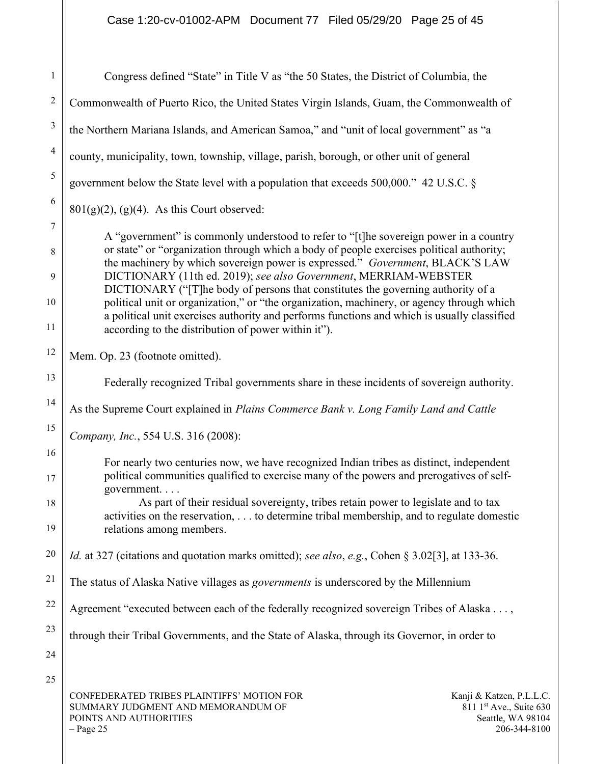| 1                            | Congress defined "State" in Title V as "the 50 States, the District of Columbia, the                                                                                                                                                                                                                                                                                                                                                                                                                                                                                                                                                                                        |
|------------------------------|-----------------------------------------------------------------------------------------------------------------------------------------------------------------------------------------------------------------------------------------------------------------------------------------------------------------------------------------------------------------------------------------------------------------------------------------------------------------------------------------------------------------------------------------------------------------------------------------------------------------------------------------------------------------------------|
| $\overline{c}$               | Commonwealth of Puerto Rico, the United States Virgin Islands, Guam, the Commonwealth of                                                                                                                                                                                                                                                                                                                                                                                                                                                                                                                                                                                    |
| 3                            | the Northern Mariana Islands, and American Samoa," and "unit of local government" as "a                                                                                                                                                                                                                                                                                                                                                                                                                                                                                                                                                                                     |
| 4                            | county, municipality, town, township, village, parish, borough, or other unit of general                                                                                                                                                                                                                                                                                                                                                                                                                                                                                                                                                                                    |
| 5                            | government below the State level with a population that exceeds 500,000." 42 U.S.C. §                                                                                                                                                                                                                                                                                                                                                                                                                                                                                                                                                                                       |
| 6                            | $801(g)(2)$ , (g)(4). As this Court observed:                                                                                                                                                                                                                                                                                                                                                                                                                                                                                                                                                                                                                               |
| $\tau$<br>8<br>9<br>10<br>11 | A "government" is commonly understood to refer to "[t]he sovereign power in a country<br>or state" or "organization through which a body of people exercises political authority;<br>the machinery by which sovereign power is expressed." Government, BLACK'S LAW<br>DICTIONARY (11th ed. 2019); see also Government, MERRIAM-WEBSTER<br>DICTIONARY ("The body of persons that constitutes the governing authority of a<br>political unit or organization," or "the organization, machinery, or agency through which<br>a political unit exercises authority and performs functions and which is usually classified<br>according to the distribution of power within it"). |
| 12                           | Mem. Op. 23 (footnote omitted).                                                                                                                                                                                                                                                                                                                                                                                                                                                                                                                                                                                                                                             |
| 13                           | Federally recognized Tribal governments share in these incidents of sovereign authority.                                                                                                                                                                                                                                                                                                                                                                                                                                                                                                                                                                                    |
| 14                           | As the Supreme Court explained in Plains Commerce Bank v. Long Family Land and Cattle                                                                                                                                                                                                                                                                                                                                                                                                                                                                                                                                                                                       |
| 15                           | Company, Inc., 554 U.S. 316 (2008):                                                                                                                                                                                                                                                                                                                                                                                                                                                                                                                                                                                                                                         |
| 16<br>17<br>18<br>19         | For nearly two centuries now, we have recognized Indian tribes as distinct, independent<br>political communities qualified to exercise many of the powers and prerogatives of self-<br>government<br>As part of their residual sovereignty, tribes retain power to legislate and to tax<br>activities on the reservation,  to determine tribal membership, and to regulate domestic<br>relations among members.                                                                                                                                                                                                                                                             |
| 20                           | Id. at 327 (citations and quotation marks omitted); see also, e.g., Cohen § 3.02[3], at 133-36.                                                                                                                                                                                                                                                                                                                                                                                                                                                                                                                                                                             |
| 21                           | The status of Alaska Native villages as governments is underscored by the Millennium                                                                                                                                                                                                                                                                                                                                                                                                                                                                                                                                                                                        |
| 22                           | Agreement "executed between each of the federally recognized sovereign Tribes of Alaska ,                                                                                                                                                                                                                                                                                                                                                                                                                                                                                                                                                                                   |
| 23                           | through their Tribal Governments, and the State of Alaska, through its Governor, in order to                                                                                                                                                                                                                                                                                                                                                                                                                                                                                                                                                                                |
| 24                           |                                                                                                                                                                                                                                                                                                                                                                                                                                                                                                                                                                                                                                                                             |
| 25                           | CONFEDERATED TRIBES PLAINTIFFS' MOTION FOR<br>Kanji & Katzen, P.L.L.C.<br>SUMMARY JUDGMENT AND MEMORANDUM OF<br>811 1 <sup>st</sup> Ave., Suite 630<br>POINTS AND AUTHORITIES<br>Seattle, WA 98104<br>$-$ Page 25<br>206-344-8100                                                                                                                                                                                                                                                                                                                                                                                                                                           |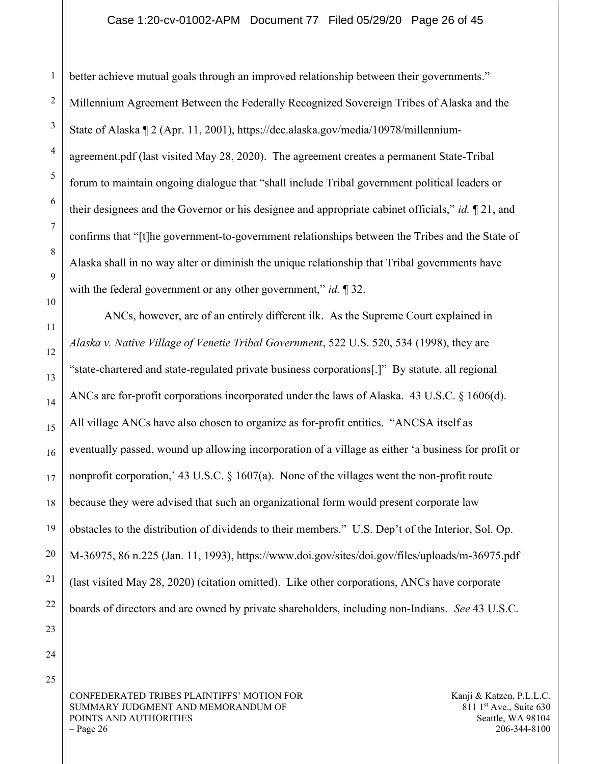#### Case 1:20-cv-01002-APM Document 77 Filed 05/29/20 Page 26 of 45

better achieve mutual goals through an improved relationship between their governments." Millennium Agreement Between the Federally Recognized Sovereign Tribes of Alaska and the State of Alaska ¶ 2 (Apr. 11, 2001), https://dec.alaska.gov/media/10978/millenniumagreement.pdf (last visited May 28, 2020). The agreement creates a permanent State-Tribal forum to maintain ongoing dialogue that "shall include Tribal government political leaders or their designees and the Governor or his designee and appropriate cabinet officials," id.  $\llbracket 21$ , and confirms that "[t]he government-to-government relationships between the Tribes and the State of Alaska shall in no way alter or diminish the unique relationship that Tribal governments have with the federal government or any other government," *id.*  $\llbracket 32$ .

ANCs, however, are of an entirely different ilk. As the Supreme Court explained in Alaska v. Native Village of Venetie Tribal Government, 522 U.S. 520, 534 (1998), they are "state-chartered and state-regulated private business corporations[.]" By statute, all regional ANCs are for-profit corporations incorporated under the laws of Alaska. 43 U.S.C. § 1606(d). All village ANCs have also chosen to organize as for-profit entities. "ANCSA itself as eventually passed, wound up allowing incorporation of a village as either 'a business for profit or nonprofit corporation,' 43 U.S.C.  $\S$  1607(a). None of the villages went the non-profit route because they were advised that such an organizational form would present corporate law obstacles to the distribution of dividends to their members." U.S. Dep't of the Interior, Sol. Op. M-36975, 86 n.225 (Jan. 11, 1993), https://www.doi.gov/sites/doi.gov/files/uploads/m-36975.pdf (last visited May 28, 2020) (citation omitted). Like other corporations, ANCs have corporate boards of directors and are owned by private shareholders, including non-Indians. See 43 U.S.C.

CONFEDERATED TRIBES PLAINTIFFS' MOTION FOR SUMMARY JUDGMENT AND MEMORANDUM OF POINTS AND AUTHORITIES – Page 26

Kanji & Katzen, P.L.L.C. 811 1<sup>st</sup> Ave., Suite 630 Seattle, WA 98104 206-344-8100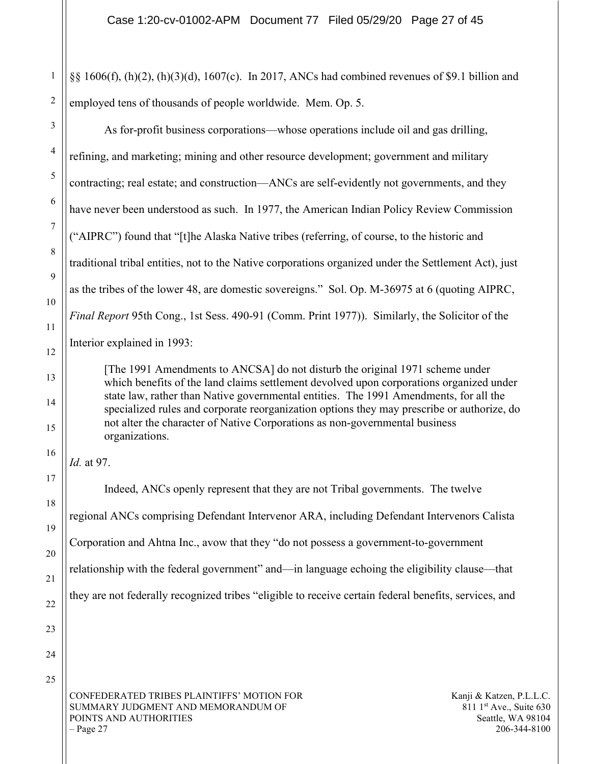§§ 1606(f), (h)(2), (h)(3)(d), 1607(c). In 2017, ANCs had combined revenues of \$9.1 billion and employed tens of thousands of people worldwide. Mem. Op. 5.

As for-profit business corporations—whose operations include oil and gas drilling, refining, and marketing; mining and other resource development; government and military contracting; real estate; and construction—ANCs are self-evidently not governments, and they have never been understood as such. In 1977, the American Indian Policy Review Commission ("AIPRC") found that "[t]he Alaska Native tribes (referring, of course, to the historic and traditional tribal entities, not to the Native corporations organized under the Settlement Act), just as the tribes of the lower 48, are domestic sovereigns." Sol. Op. M-36975 at 6 (quoting AIPRC, Final Report 95th Cong., 1st Sess. 490-91 (Comm. Print 1977)). Similarly, the Solicitor of the Interior explained in 1993:

[The 1991 Amendments to ANCSA] do not disturb the original 1971 scheme under which benefits of the land claims settlement devolved upon corporations organized under state law, rather than Native governmental entities. The 1991 Amendments, for all the specialized rules and corporate reorganization options they may prescribe or authorize, do not alter the character of Native Corporations as non-governmental business organizations.

Id. at 97.

Indeed, ANCs openly represent that they are not Tribal governments. The twelve regional ANCs comprising Defendant Intervenor ARA, including Defendant Intervenors Calista Corporation and Ahtna Inc., avow that they "do not possess a government-to-government relationship with the federal government" and—in language echoing the eligibility clause—that they are not federally recognized tribes "eligible to receive certain federal benefits, services, and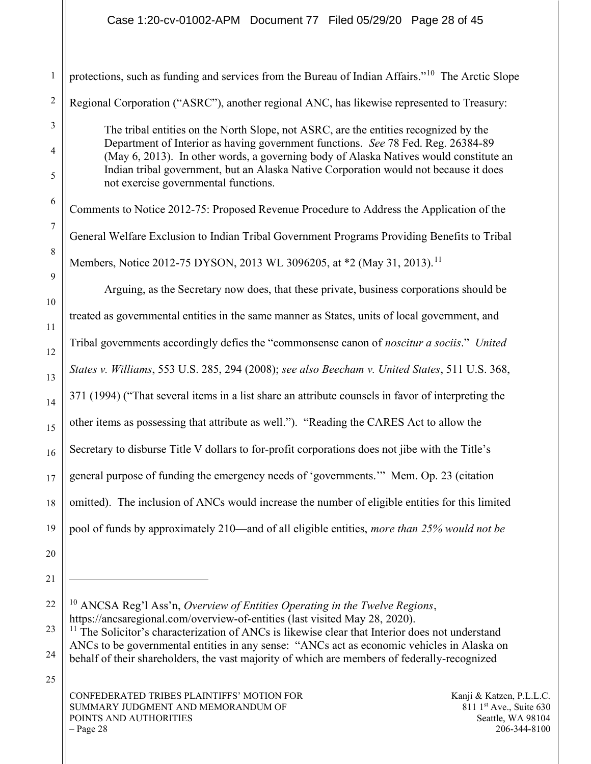Case 1:20-cv-01002-APM Document 77 Filed 05/29/20 Page 28 of 45

1 2 3 4 5 6 7 8 9 10 11 12 13 14 15 16 17 18 19 20 21 22 23 protections, such as funding and services from the Bureau of Indian Affairs."<sup>10</sup> The Arctic Slope Regional Corporation ("ASRC"), another regional ANC, has likewise represented to Treasury: The tribal entities on the North Slope, not ASRC, are the entities recognized by the Department of Interior as having government functions. See 78 Fed. Reg. 26384-89 (May 6, 2013). In other words, a governing body of Alaska Natives would constitute an Indian tribal government, but an Alaska Native Corporation would not because it does not exercise governmental functions. Comments to Notice 2012-75: Proposed Revenue Procedure to Address the Application of the General Welfare Exclusion to Indian Tribal Government Programs Providing Benefits to Tribal Members, Notice 2012-75 DYSON, 2013 WL 3096205, at \*2 (May 31, 2013).<sup>11</sup> Arguing, as the Secretary now does, that these private, business corporations should be treated as governmental entities in the same manner as States, units of local government, and Tribal governments accordingly defies the "commonsense canon of *noscitur a sociis.*" United States v. Williams, 553 U.S. 285, 294 (2008); see also Beecham v. United States, 511 U.S. 368, 371 (1994) ("That several items in a list share an attribute counsels in favor of interpreting the other items as possessing that attribute as well."). "Reading the CARES Act to allow the Secretary to disburse Title V dollars to for-profit corporations does not jibe with the Title's general purpose of funding the emergency needs of 'governments.'" Mem. Op. 23 (citation omitted). The inclusion of ANCs would increase the number of eligible entities for this limited pool of funds by approximately 210—and of all eligible entities, more than 25% would not be <sup>10</sup> ANCSA Reg'l Ass'n, Overview of Entities Operating in the Twelve Regions, https://ancsaregional.com/overview-of-entities (last visited May 28, 2020).  $11$  The Solicitor's characterization of ANCs is likewise clear that Interior does not understand

<sup>24</sup> ANCs to be governmental entities in any sense: "ANCs act as economic vehicles in Alaska on behalf of their shareholders, the vast majority of which are members of federally-recognized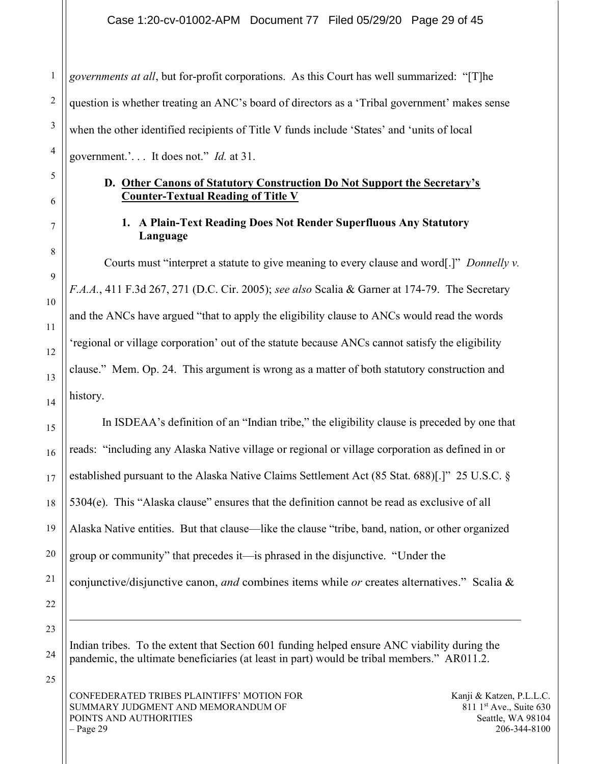governments at all, but for-profit corporations. As this Court has well summarized: "[T]he question is whether treating an ANC's board of directors as a 'Tribal government' makes sense when the other identified recipients of Title V funds include 'States' and 'units of local government.'. . . It does not." Id. at 31.

#### D. Other Canons of Statutory Construction Do Not Support the Secretary's Counter-Textual Reading of Title V

## 1. A Plain-Text Reading Does Not Render Superfluous Any Statutory Language

Courts must "interpret a statute to give meaning to every clause and word[.]" Donnelly v. F.A.A., 411 F.3d 267, 271 (D.C. Cir. 2005); see also Scalia & Garner at 174-79. The Secretary and the ANCs have argued "that to apply the eligibility clause to ANCs would read the words 'regional or village corporation' out of the statute because ANCs cannot satisfy the eligibility clause." Mem. Op. 24. This argument is wrong as a matter of both statutory construction and history.

In ISDEAA's definition of an "Indian tribe," the eligibility clause is preceded by one that reads: "including any Alaska Native village or regional or village corporation as defined in or established pursuant to the Alaska Native Claims Settlement Act (85 Stat. 688)[.]" 25 U.S.C. § 5304(e). This "Alaska clause" ensures that the definition cannot be read as exclusive of all Alaska Native entities. But that clause—like the clause "tribe, band, nation, or other organized group or community" that precedes it—is phrased in the disjunctive. "Under the conjunctive/disjunctive canon, and combines items while or creates alternatives." Scalia &

Indian tribes. To the extent that Section 601 funding helped ensure ANC viability during the pandemic, the ultimate beneficiaries (at least in part) would be tribal members." AR011.2.

CONFEDERATED TRIBES PLAINTIFFS' MOTION FOR SUMMARY JUDGMENT AND MEMORANDUM OF POINTS AND AUTHORITIES  $-$  Page 29

Kanji & Katzen, P.L.L.C.  $811 \text{ 1}$ st Ave., Suite 630 Seattle, WA 98104 206-344-8100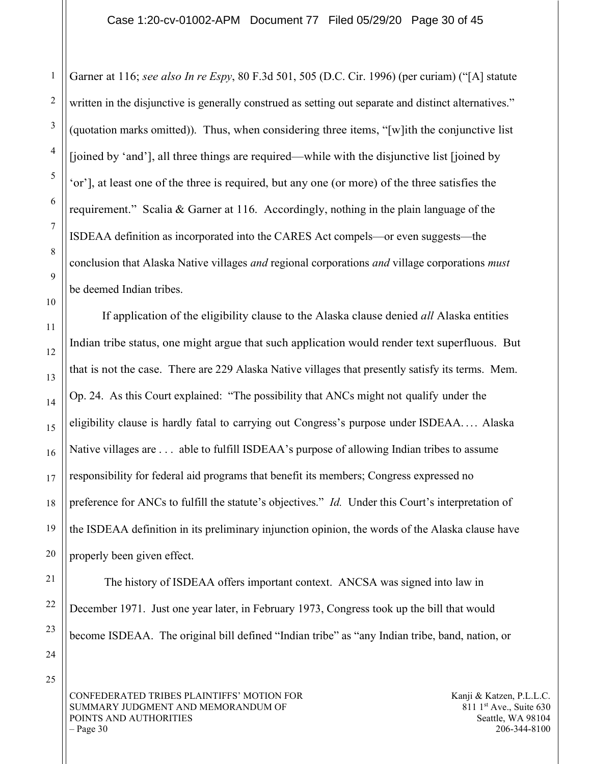Garner at 116; see also In re Espy, 80 F.3d 501, 505 (D.C. Cir. 1996) (per curiam) ("[A] statute written in the disjunctive is generally construed as setting out separate and distinct alternatives." (quotation marks omitted)). Thus, when considering three items, "[w]ith the conjunctive list [joined by 'and'], all three things are required—while with the disjunctive list [joined by 'or'], at least one of the three is required, but any one (or more) of the three satisfies the requirement." Scalia & Garner at 116. Accordingly, nothing in the plain language of the ISDEAA definition as incorporated into the CARES Act compels—or even suggests—the conclusion that Alaska Native villages *and* regional corporations *and* village corporations *must* be deemed Indian tribes.

If application of the eligibility clause to the Alaska clause denied *all* Alaska entities Indian tribe status, one might argue that such application would render text superfluous. But that is not the case. There are 229 Alaska Native villages that presently satisfy its terms. Mem. Op. 24. As this Court explained: "The possibility that ANCs might not qualify under the eligibility clause is hardly fatal to carrying out Congress's purpose under ISDEAA. . . . Alaska Native villages are . . . able to fulfill ISDEAA's purpose of allowing Indian tribes to assume responsibility for federal aid programs that benefit its members; Congress expressed no preference for ANCs to fulfill the statute's objectives." Id. Under this Court's interpretation of the ISDEAA definition in its preliminary injunction opinion, the words of the Alaska clause have properly been given effect.

The history of ISDEAA offers important context. ANCSA was signed into law in December 1971. Just one year later, in February 1973, Congress took up the bill that would become ISDEAA. The original bill defined "Indian tribe" as "any Indian tribe, band, nation, or

CONFEDERATED TRIBES PLAINTIFFS' MOTION FOR SUMMARY JUDGMENT AND MEMORANDUM OF POINTS AND AUTHORITIES  $-$  Page 30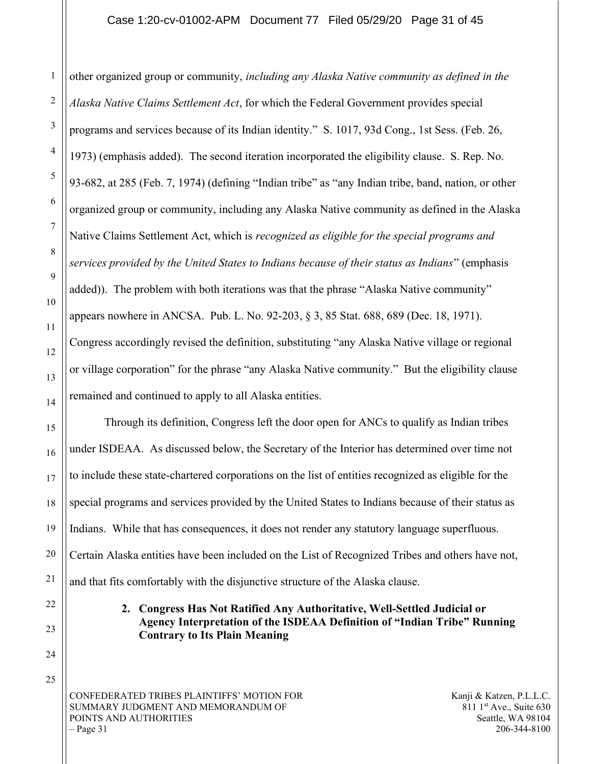#### Case 1:20-cv-01002-APM Document 77 Filed 05/29/20 Page 31 of 45

other organized group or community, including any Alaska Native community as defined in the Alaska Native Claims Settlement Act, for which the Federal Government provides special programs and services because of its Indian identity." S. 1017, 93d Cong., 1st Sess. (Feb. 26, 1973) (emphasis added). The second iteration incorporated the eligibility clause. S. Rep. No. 93-682, at 285 (Feb. 7, 1974) (defining "Indian tribe" as "any Indian tribe, band, nation, or other organized group or community, including any Alaska Native community as defined in the Alaska Native Claims Settlement Act, which is *recognized as eligible for the special programs and* services provided by the United States to Indians because of their status as Indians" (emphasis added)). The problem with both iterations was that the phrase "Alaska Native community" appears nowhere in ANCSA. Pub. L. No. 92-203, § 3, 85 Stat. 688, 689 (Dec. 18, 1971). Congress accordingly revised the definition, substituting "any Alaska Native village or regional or village corporation" for the phrase "any Alaska Native community." But the eligibility clause remained and continued to apply to all Alaska entities.

Through its definition, Congress left the door open for ANCs to qualify as Indian tribes under ISDEAA. As discussed below, the Secretary of the Interior has determined over time not to include these state-chartered corporations on the list of entities recognized as eligible for the special programs and services provided by the United States to Indians because of their status as Indians. While that has consequences, it does not render any statutory language superfluous. Certain Alaska entities have been included on the List of Recognized Tribes and others have not, and that fits comfortably with the disjunctive structure of the Alaska clause.

> 2. Congress Has Not Ratified Any Authoritative, Well-Settled Judicial or Agency Interpretation of the ISDEAA Definition of "Indian Tribe" Running Contrary to Its Plain Meaning

CONFEDERATED TRIBES PLAINTIFFS' MOTION FOR SUMMARY JUDGMENT AND MEMORANDUM OF POINTS AND AUTHORITIES  $-$  Page 31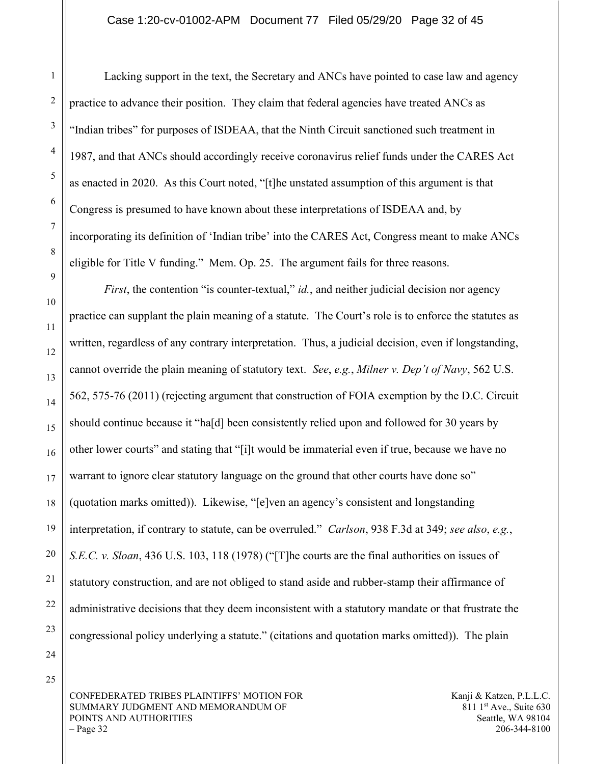Lacking support in the text, the Secretary and ANCs have pointed to case law and agency practice to advance their position. They claim that federal agencies have treated ANCs as "Indian tribes" for purposes of ISDEAA, that the Ninth Circuit sanctioned such treatment in 1987, and that ANCs should accordingly receive coronavirus relief funds under the CARES Act as enacted in 2020. As this Court noted, "[t]he unstated assumption of this argument is that Congress is presumed to have known about these interpretations of ISDEAA and, by incorporating its definition of 'Indian tribe' into the CARES Act, Congress meant to make ANCs eligible for Title V funding." Mem. Op. 25. The argument fails for three reasons.

*First*, the contention "is counter-textual," *id.*, and neither judicial decision nor agency practice can supplant the plain meaning of a statute. The Court's role is to enforce the statutes as written, regardless of any contrary interpretation. Thus, a judicial decision, even if longstanding, cannot override the plain meaning of statutory text. See, e.g., Milner v. Dep't of Navy, 562 U.S. 562, 575-76 (2011) (rejecting argument that construction of FOIA exemption by the D.C. Circuit should continue because it "ha[d] been consistently relied upon and followed for 30 years by other lower courts" and stating that "[i]t would be immaterial even if true, because we have no warrant to ignore clear statutory language on the ground that other courts have done so" (quotation marks omitted)). Likewise, "[e]ven an agency's consistent and longstanding interpretation, if contrary to statute, can be overruled." Carlson, 938 F.3d at 349; see also, e.g., S.E.C. v. Sloan, 436 U.S. 103, 118 (1978) ("The courts are the final authorities on issues of statutory construction, and are not obliged to stand aside and rubber-stamp their affirmance of administrative decisions that they deem inconsistent with a statutory mandate or that frustrate the congressional policy underlying a statute." (citations and quotation marks omitted)). The plain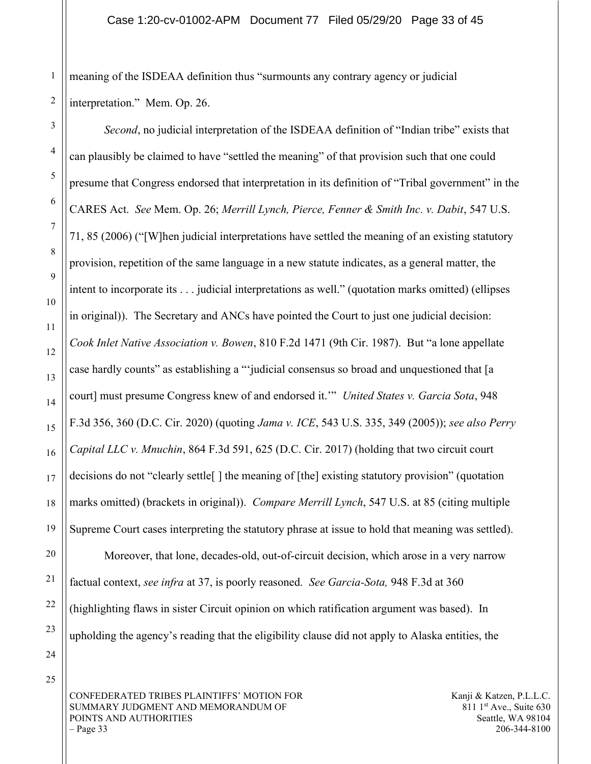meaning of the ISDEAA definition thus "surmounts any contrary agency or judicial interpretation." Mem. Op. 26.

Second, no judicial interpretation of the ISDEAA definition of "Indian tribe" exists that can plausibly be claimed to have "settled the meaning" of that provision such that one could presume that Congress endorsed that interpretation in its definition of "Tribal government" in the CARES Act. See Mem. Op. 26; Merrill Lynch, Pierce, Fenner & Smith Inc. v. Dabit, 547 U.S. 71, 85 (2006) ("[W]hen judicial interpretations have settled the meaning of an existing statutory provision, repetition of the same language in a new statute indicates, as a general matter, the intent to incorporate its . . . judicial interpretations as well." (quotation marks omitted) (ellipses in original)). The Secretary and ANCs have pointed the Court to just one judicial decision: Cook Inlet Native Association v. Bowen, 810 F.2d 1471 (9th Cir. 1987). But "a lone appellate case hardly counts" as establishing a "'judicial consensus so broad and unquestioned that [a court] must presume Congress knew of and endorsed it."" United States v. Garcia Sota, 948 F.3d 356, 360 (D.C. Cir. 2020) (quoting *Jama v. ICE*, 543 U.S. 335, 349 (2005)); see also Perry Capital LLC v. Mnuchin, 864 F.3d 591, 625 (D.C. Cir. 2017) (holding that two circuit court decisions do not "clearly settle[ ] the meaning of [the] existing statutory provision" (quotation marks omitted) (brackets in original)). *Compare Merrill Lynch*, 547 U.S. at 85 (citing multiple Supreme Court cases interpreting the statutory phrase at issue to hold that meaning was settled). Moreover, that lone, decades-old, out-of-circuit decision, which arose in a very narrow factual context, see infra at 37, is poorly reasoned. See Garcia-Sota, 948 F.3d at 360 (highlighting flaws in sister Circuit opinion on which ratification argument was based). In upholding the agency's reading that the eligibility clause did not apply to Alaska entities, the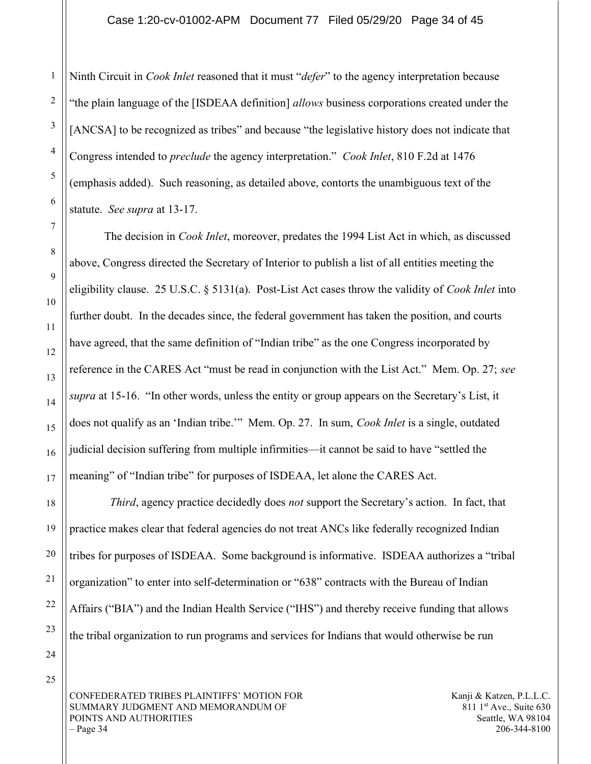Ninth Circuit in *Cook Inlet* reasoned that it must "*defer*" to the agency interpretation because "the plain language of the [ISDEAA definition] allows business corporations created under the [ANCSA] to be recognized as tribes" and because "the legislative history does not indicate that Congress intended to preclude the agency interpretation." Cook Inlet, 810 F.2d at 1476 (emphasis added). Such reasoning, as detailed above, contorts the unambiguous text of the statute. See supra at 13-17.

The decision in *Cook Inlet*, moreover, predates the 1994 List Act in which, as discussed above, Congress directed the Secretary of Interior to publish a list of all entities meeting the eligibility clause. 25 U.S.C. § 5131(a). Post-List Act cases throw the validity of Cook Inlet into further doubt. In the decades since, the federal government has taken the position, and courts have agreed, that the same definition of "Indian tribe" as the one Congress incorporated by reference in the CARES Act "must be read in conjunction with the List Act." Mem. Op. 27; see supra at 15-16. "In other words, unless the entity or group appears on the Secretary's List, it does not qualify as an 'Indian tribe.'" Mem. Op. 27. In sum, Cook Inlet is a single, outdated judicial decision suffering from multiple infirmities—it cannot be said to have "settled the meaning" of "Indian tribe" for purposes of ISDEAA, let alone the CARES Act.

Third, agency practice decidedly does not support the Secretary's action. In fact, that practice makes clear that federal agencies do not treat ANCs like federally recognized Indian tribes for purposes of ISDEAA. Some background is informative. ISDEAA authorizes a "tribal organization" to enter into self-determination or "638" contracts with the Bureau of Indian Affairs ("BIA") and the Indian Health Service ("IHS") and thereby receive funding that allows the tribal organization to run programs and services for Indians that would otherwise be run

CONFEDERATED TRIBES PLAINTIFFS' MOTION FOR SUMMARY JUDGMENT AND MEMORANDUM OF POINTS AND AUTHORITIES  $-$  Page 34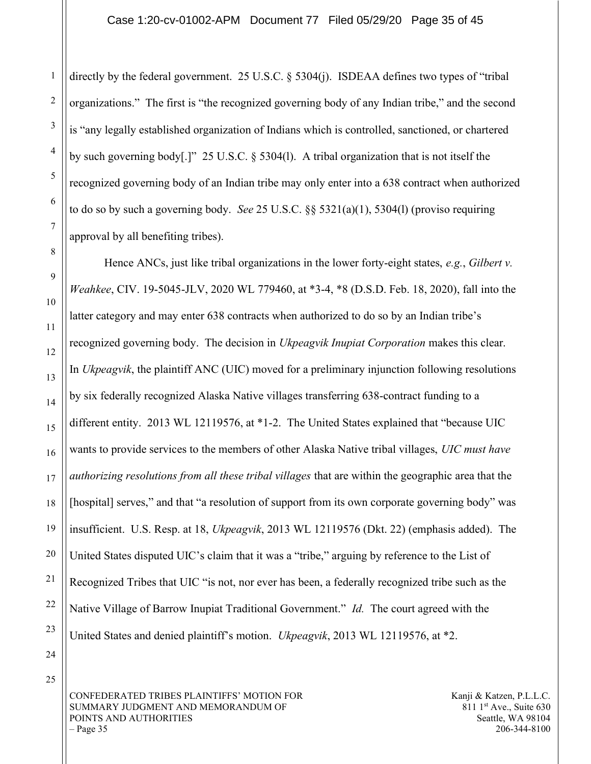directly by the federal government. 25 U.S.C. § 5304(j). ISDEAA defines two types of "tribal organizations." The first is "the recognized governing body of any Indian tribe," and the second is "any legally established organization of Indians which is controlled, sanctioned, or chartered by such governing body[.]" 25 U.S.C. § 5304(l). A tribal organization that is not itself the recognized governing body of an Indian tribe may only enter into a 638 contract when authorized to do so by such a governing body. See 25 U.S.C.  $\S$ § 5321(a)(1), 5304(l) (proviso requiring approval by all benefiting tribes).

Hence ANCs, just like tribal organizations in the lower forty-eight states, e.g., Gilbert v. Weahkee, CIV. 19-5045-JLV, 2020 WL 779460, at \*3-4, \*8 (D.S.D. Feb. 18, 2020), fall into the latter category and may enter 638 contracts when authorized to do so by an Indian tribe's recognized governing body. The decision in Ukpeagvik Inupiat Corporation makes this clear. In Ukpeagvik, the plaintiff ANC (UIC) moved for a preliminary injunction following resolutions by six federally recognized Alaska Native villages transferring 638-contract funding to a different entity. 2013 WL 12119576, at \*1-2. The United States explained that "because UIC wants to provide services to the members of other Alaska Native tribal villages, UIC must have authorizing resolutions from all these tribal villages that are within the geographic area that the [hospital] serves," and that "a resolution of support from its own corporate governing body" was insufficient. U.S. Resp. at 18, Ukpeagvik, 2013 WL 12119576 (Dkt. 22) (emphasis added). The United States disputed UIC's claim that it was a "tribe," arguing by reference to the List of Recognized Tribes that UIC "is not, nor ever has been, a federally recognized tribe such as the Native Village of Barrow Inupiat Traditional Government." *Id.* The court agreed with the United States and denied plaintiff's motion. Ukpeagvik, 2013 WL 12119576, at \*2.

CONFEDERATED TRIBES PLAINTIFFS' MOTION FOR SUMMARY JUDGMENT AND MEMORANDUM OF POINTS AND AUTHORITIES  $-$  Page 35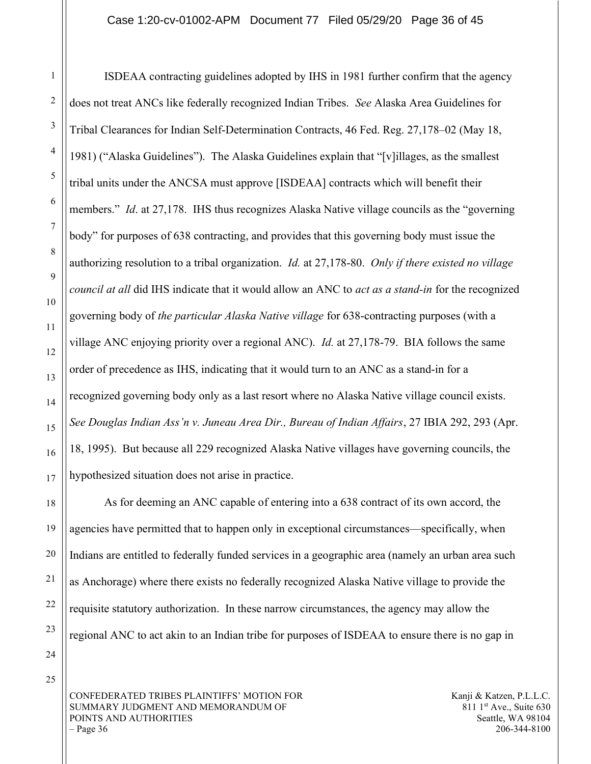ISDEAA contracting guidelines adopted by IHS in 1981 further confirm that the agency does not treat ANCs like federally recognized Indian Tribes. See Alaska Area Guidelines for Tribal Clearances for Indian Self-Determination Contracts, 46 Fed. Reg. 27,178–02 (May 18, 1981) ("Alaska Guidelines"). The Alaska Guidelines explain that "[v]illages, as the smallest tribal units under the ANCSA must approve [ISDEAA] contracts which will benefit their members." *Id.* at 27,178. IHS thus recognizes Alaska Native village councils as the "governing" body" for purposes of 638 contracting, and provides that this governing body must issue the authorizing resolution to a tribal organization. *Id.* at 27,178-80. Only if there existed no village council at all did IHS indicate that it would allow an ANC to act as a stand-in for the recognized governing body of the particular Alaska Native village for 638-contracting purposes (with a village ANC enjoying priority over a regional ANC). *Id.* at  $27,178-79$ . BIA follows the same order of precedence as IHS, indicating that it would turn to an ANC as a stand-in for a recognized governing body only as a last resort where no Alaska Native village council exists. See Douglas Indian Ass'n v. Juneau Area Dir., Bureau of Indian Affairs, 27 IBIA 292, 293 (Apr. 18, 1995). But because all 229 recognized Alaska Native villages have governing councils, the hypothesized situation does not arise in practice.

As for deeming an ANC capable of entering into a 638 contract of its own accord, the agencies have permitted that to happen only in exceptional circumstances—specifically, when Indians are entitled to federally funded services in a geographic area (namely an urban area such as Anchorage) where there exists no federally recognized Alaska Native village to provide the requisite statutory authorization. In these narrow circumstances, the agency may allow the regional ANC to act akin to an Indian tribe for purposes of ISDEAA to ensure there is no gap in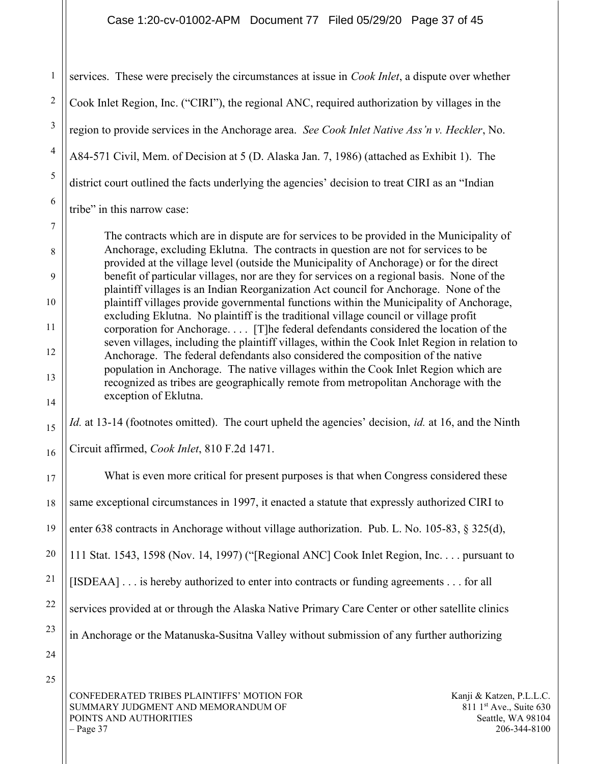#### Case 1:20-cv-01002-APM Document 77 Filed 05/29/20 Page 37 of 45

services. These were precisely the circumstances at issue in *Cook Inlet*, a dispute over whether Cook Inlet Region, Inc. ("CIRI"), the regional ANC, required authorization by villages in the region to provide services in the Anchorage area. See Cook Inlet Native Ass'n v. Heckler, No. A84-571 Civil, Mem. of Decision at 5 (D. Alaska Jan. 7, 1986) (attached as Exhibit 1). The district court outlined the facts underlying the agencies' decision to treat CIRI as an "Indian tribe" in this narrow case:

The contracts which are in dispute are for services to be provided in the Municipality of Anchorage, excluding Eklutna. The contracts in question are not for services to be provided at the village level (outside the Municipality of Anchorage) or for the direct benefit of particular villages, nor are they for services on a regional basis. None of the plaintiff villages is an Indian Reorganization Act council for Anchorage. None of the plaintiff villages provide governmental functions within the Municipality of Anchorage, excluding Eklutna. No plaintiff is the traditional village council or village profit corporation for Anchorage. . . . [T]he federal defendants considered the location of the seven villages, including the plaintiff villages, within the Cook Inlet Region in relation to Anchorage. The federal defendants also considered the composition of the native population in Anchorage. The native villages within the Cook Inlet Region which are recognized as tribes are geographically remote from metropolitan Anchorage with the exception of Eklutna.

Id. at 13-14 (footnotes omitted). The court upheld the agencies' decision, id. at 16, and the Ninth

Circuit affirmed, Cook Inlet, 810 F.2d 1471.

What is even more critical for present purposes is that when Congress considered these same exceptional circumstances in 1997, it enacted a statute that expressly authorized CIRI to enter 638 contracts in Anchorage without village authorization. Pub. L. No. 105-83, § 325(d), 111 Stat. 1543, 1598 (Nov. 14, 1997) ("[Regional ANC] Cook Inlet Region, Inc. . . . pursuant to [ISDEAA] . . . is hereby authorized to enter into contracts or funding agreements . . . for all services provided at or through the Alaska Native Primary Care Center or other satellite clinics in Anchorage or the Matanuska-Susitna Valley without submission of any further authorizing

25

24

1

2

3

4

5

6

7

8

9

10

11

12

13

14

15

16

17

18

19

20

21

22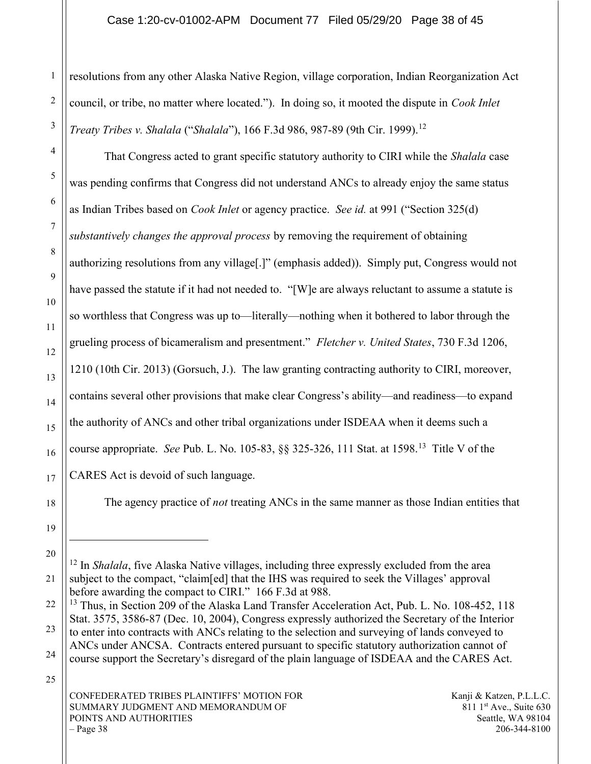#### Case 1:20-cv-01002-APM Document 77 Filed 05/29/20 Page 38 of 45

resolutions from any other Alaska Native Region, village corporation, Indian Reorganization Act council, or tribe, no matter where located."). In doing so, it mooted the dispute in Cook Inlet Treaty Tribes v. Shalala ("Shalala"), 166 F.3d 986, 987-89 (9th Cir. 1999).<sup>12</sup>

That Congress acted to grant specific statutory authority to CIRI while the *Shalala* case was pending confirms that Congress did not understand ANCs to already enjoy the same status as Indian Tribes based on *Cook Inlet* or agency practice. See id. at 991 ("Section 325(d) substantively changes the approval process by removing the requirement of obtaining authorizing resolutions from any village[.]" (emphasis added)). Simply put, Congress would not have passed the statute if it had not needed to. "[W]e are always reluctant to assume a statute is so worthless that Congress was up to—literally—nothing when it bothered to labor through the grueling process of bicameralism and presentment." Fletcher v. United States, 730 F.3d 1206, 1210 (10th Cir. 2013) (Gorsuch, J.). The law granting contracting authority to CIRI, moreover, contains several other provisions that make clear Congress's ability—and readiness—to expand the authority of ANCs and other tribal organizations under ISDEAA when it deems such a course appropriate. See Pub. L. No. 105-83,  $\S$  $\S$  325-326, 111 Stat. at 1598.<sup>13</sup> Title V of the CARES Act is devoid of such language.

The agency practice of *not* treating ANCs in the same manner as those Indian entities that

 $12$  In *Shalala*, five Alaska Native villages, including three expressly excluded from the area subject to the compact, "claim[ed] that the IHS was required to seek the Villages' approval before awarding the compact to CIRI." 166 F.3d at 988.

<sup>&</sup>lt;sup>13</sup> Thus, in Section 209 of the Alaska Land Transfer Acceleration Act, Pub. L. No. 108-452, 118 Stat. 3575, 3586-87 (Dec. 10, 2004), Congress expressly authorized the Secretary of the Interior to enter into contracts with ANCs relating to the selection and surveying of lands conveyed to ANCs under ANCSA. Contracts entered pursuant to specific statutory authorization cannot of course support the Secretary's disregard of the plain language of ISDEAA and the CARES Act.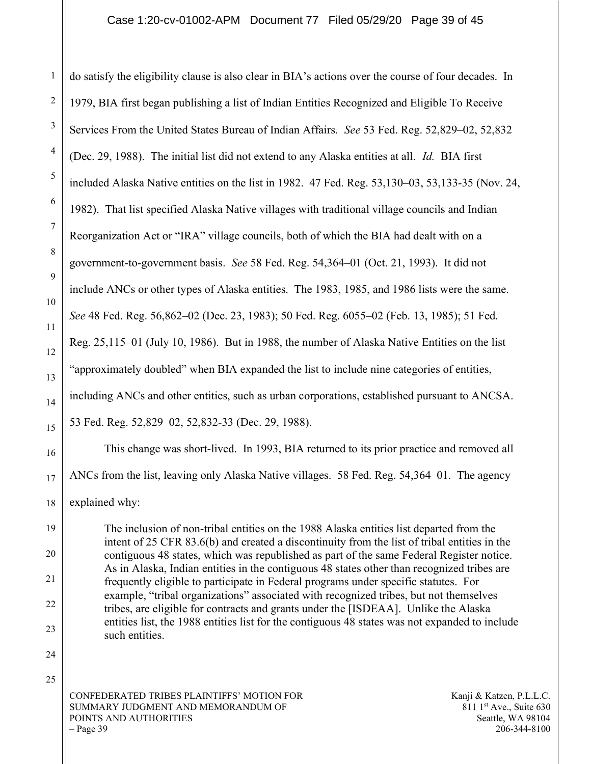do satisfy the eligibility clause is also clear in BIA's actions over the course of four decades. In 1979, BIA first began publishing a list of Indian Entities Recognized and Eligible To Receive Services From the United States Bureau of Indian Affairs. See 53 Fed. Reg. 52,829–02, 52,832 (Dec. 29, 1988). The initial list did not extend to any Alaska entities at all. Id. BIA first included Alaska Native entities on the list in 1982. 47 Fed. Reg. 53,130–03, 53,133-35 (Nov. 24, 1982). That list specified Alaska Native villages with traditional village councils and Indian Reorganization Act or "IRA" village councils, both of which the BIA had dealt with on a government-to-government basis. See 58 Fed. Reg. 54,364–01 (Oct. 21, 1993). It did not include ANCs or other types of Alaska entities. The 1983, 1985, and 1986 lists were the same. See 48 Fed. Reg. 56,862–02 (Dec. 23, 1983); 50 Fed. Reg. 6055–02 (Feb. 13, 1985); 51 Fed. Reg. 25,115–01 (July 10, 1986). But in 1988, the number of Alaska Native Entities on the list "approximately doubled" when BIA expanded the list to include nine categories of entities, including ANCs and other entities, such as urban corporations, established pursuant to ANCSA. 53 Fed. Reg. 52,829–02, 52,832-33 (Dec. 29, 1988).

 This change was short-lived. In 1993, BIA returned to its prior practice and removed all ANCs from the list, leaving only Alaska Native villages. 58 Fed. Reg. 54,364–01. The agency explained why:

The inclusion of non-tribal entities on the 1988 Alaska entities list departed from the intent of 25 CFR 83.6(b) and created a discontinuity from the list of tribal entities in the contiguous 48 states, which was republished as part of the same Federal Register notice. As in Alaska, Indian entities in the contiguous 48 states other than recognized tribes are frequently eligible to participate in Federal programs under specific statutes. For example, "tribal organizations" associated with recognized tribes, but not themselves tribes, are eligible for contracts and grants under the [ISDEAA]. Unlike the Alaska entities list, the 1988 entities list for the contiguous 48 states was not expanded to include such entities.

CONFEDERATED TRIBES PLAINTIFFS' MOTION FOR SUMMARY JUDGMENT AND MEMORANDUM OF POINTS AND AUTHORITIES  $-$  Page 39

1

2

3

4

5

6

7

8

9

10

11

12

13

14

15

16

17

18

19

20

21

22

23

24

25

Kanji & Katzen, P.L.L.C.  $811 \text{ 1}$ st Ave., Suite 630 Seattle, WA 98104 206-344-8100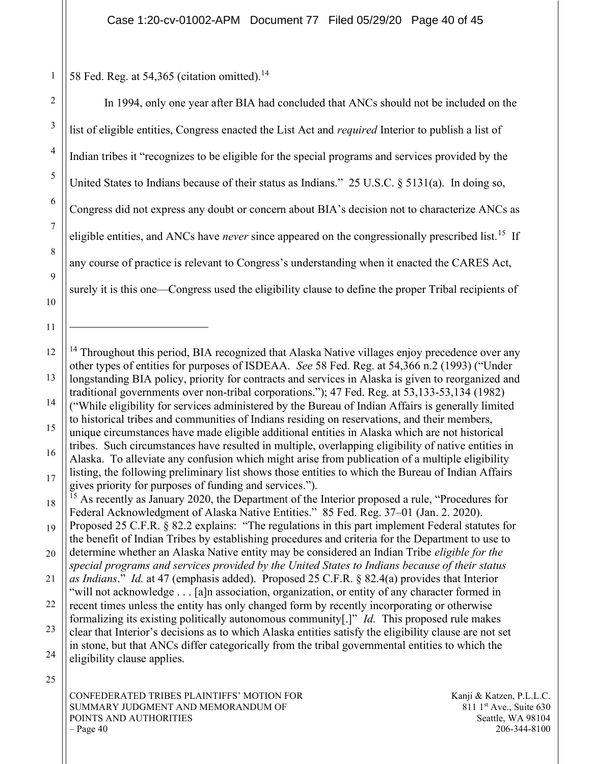58 Fed. Reg. at 54,365 (citation omitted).<sup>14</sup>

1

| $\overline{2}$ | In 1994, only one year after BIA had concluded that ANCs should not be included on the                                                                                                              |
|----------------|-----------------------------------------------------------------------------------------------------------------------------------------------------------------------------------------------------|
| $\mathfrak{Z}$ | list of eligible entities, Congress enacted the List Act and <i>required</i> Interior to publish a list of                                                                                          |
| $\overline{4}$ | Indian tribes it "recognizes to be eligible for the special programs and services provided by the                                                                                                   |
| 5              | United States to Indians because of their status as Indians." 25 U.S.C. § 5131(a). In doing so,                                                                                                     |
| 6              | Congress did not express any doubt or concern about BIA's decision not to characterize ANCs as                                                                                                      |
| $\tau$         | eligible entities, and ANCs have <i>never</i> since appeared on the congressionally prescribed list. <sup>15</sup> If                                                                               |
| 8              | any course of practice is relevant to Congress's understanding when it enacted the CARES Act,                                                                                                       |
| 9<br>10        | surely it is this one—Congress used the eligibility clause to define the proper Tribal recipients of                                                                                                |
| 11             |                                                                                                                                                                                                     |
| 12             | <sup>14</sup> Throughout this period, BIA recognized that Alaska Native villages enjoy precedence over any                                                                                          |
| 13             | other types of entities for purposes of ISDEAA. See 58 Fed. Reg. at 54,366 n.2 (1993) ("Under<br>longstanding BIA policy, priority for contracts and services in Alaska is given to reorganized and |
| 14             | traditional governments over non-tribal corporations."); 47 Fed. Reg. at 53,133-53,134 (1982)<br>("While eligibility for services administered by the Bureau of Indian Affairs is generally limited |
| 15             | to historical tribes and communities of Indians residing on reservations, and their members,<br>unique circumstances have made eligible additional entities in Alaska which are not historical      |

16 17 tribes. Such circumstances have resulted in multiple, overlapping eligibility of native entities in Alaska. To alleviate any confusion which might arise from publication of a multiple eligibility listing, the following preliminary list shows those entities to which the Bureau of Indian Affairs gives priority for purposes of funding and services.").

25

CONFEDERATED TRIBES PLAINTIFFS' MOTION FOR SUMMARY JUDGMENT AND MEMORANDUM OF POINTS AND AUTHORITIES  $-$  Page 40

Kanji & Katzen, P.L.L.C.  $811 \text{ 1}$ st Ave., Suite 630 Seattle, WA 98104 206-344-8100

<sup>18</sup> <sup>15</sup> As recently as January 2020, the Department of the Interior proposed a rule, "Procedures for Federal Acknowledgment of Alaska Native Entities." 85 Fed. Reg. 37–01 (Jan. 2. 2020).

<sup>19</sup> Proposed 25 C.F.R. § 82.2 explains: "The regulations in this part implement Federal statutes for the benefit of Indian Tribes by establishing procedures and criteria for the Department to use to

<sup>20</sup> determine whether an Alaska Native entity may be considered an Indian Tribe *eligible for the* special programs and services provided by the United States to Indians because of their status

<sup>21</sup> 22 as Indians." Id. at 47 (emphasis added). Proposed 25 C.F.R. § 82.4(a) provides that Interior "will not acknowledge . . . [a]n association, organization, or entity of any character formed in recent times unless the entity has only changed form by recently incorporating or otherwise

formalizing its existing politically autonomous community[.]" *Id.* This proposed rule makes

<sup>23</sup> 24 clear that Interior's decisions as to which Alaska entities satisfy the eligibility clause are not set in stone, but that ANCs differ categorically from the tribal governmental entities to which the eligibility clause applies.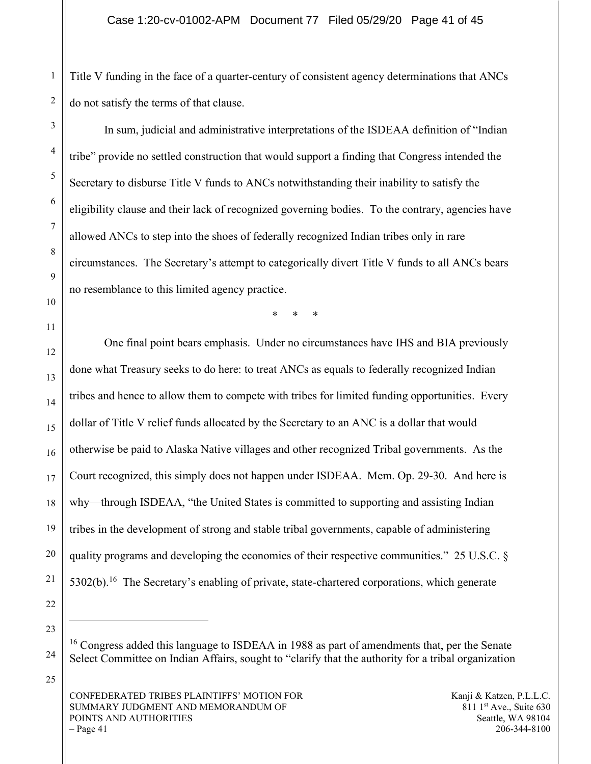Title V funding in the face of a quarter-century of consistent agency determinations that ANCs do not satisfy the terms of that clause.

In sum, judicial and administrative interpretations of the ISDEAA definition of "Indian tribe" provide no settled construction that would support a finding that Congress intended the Secretary to disburse Title V funds to ANCs notwithstanding their inability to satisfy the eligibility clause and their lack of recognized governing bodies. To the contrary, agencies have allowed ANCs to step into the shoes of federally recognized Indian tribes only in rare circumstances. The Secretary's attempt to categorically divert Title V funds to all ANCs bears no resemblance to this limited agency practice.

\* \* \*

One final point bears emphasis. Under no circumstances have IHS and BIA previously done what Treasury seeks to do here: to treat ANCs as equals to federally recognized Indian tribes and hence to allow them to compete with tribes for limited funding opportunities. Every dollar of Title V relief funds allocated by the Secretary to an ANC is a dollar that would otherwise be paid to Alaska Native villages and other recognized Tribal governments. As the Court recognized, this simply does not happen under ISDEAA. Mem. Op. 29-30. And here is why—through ISDEAA, "the United States is committed to supporting and assisting Indian tribes in the development of strong and stable tribal governments, capable of administering quality programs and developing the economies of their respective communities." 25 U.S.C. §  $5302(b)$ .<sup>16</sup> The Secretary's enabling of private, state-chartered corporations, which generate

<sup>&</sup>lt;sup>16</sup> Congress added this language to ISDEAA in 1988 as part of amendments that, per the Senate Select Committee on Indian Affairs, sought to "clarify that the authority for a tribal organization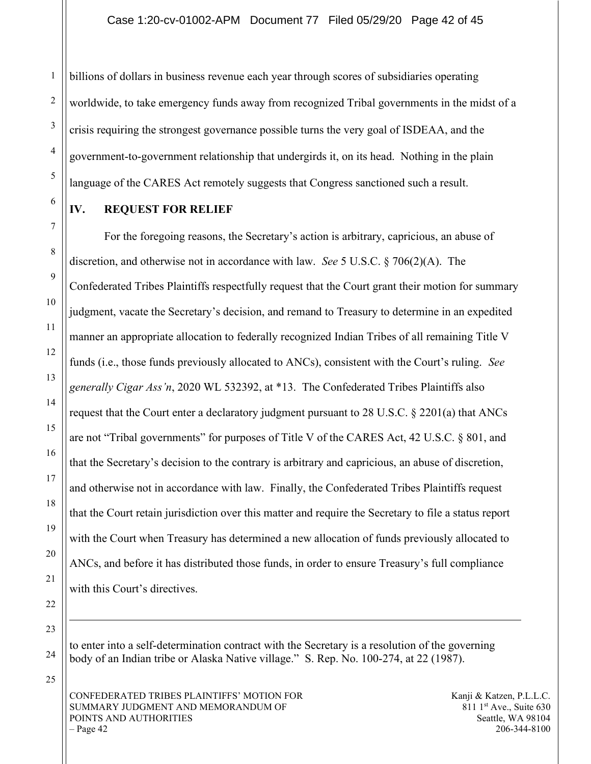billions of dollars in business revenue each year through scores of subsidiaries operating worldwide, to take emergency funds away from recognized Tribal governments in the midst of a crisis requiring the strongest governance possible turns the very goal of ISDEAA, and the government-to-government relationship that undergirds it, on its head. Nothing in the plain language of the CARES Act remotely suggests that Congress sanctioned such a result.

## IV. REQUEST FOR RELIEF

1

2

3

4

5

6

7

8

9

10

11

12

13

14

15

16

17

18

19

20

21

22

For the foregoing reasons, the Secretary's action is arbitrary, capricious, an abuse of discretion, and otherwise not in accordance with law. See 5 U.S.C. § 706(2)(A). The Confederated Tribes Plaintiffs respectfully request that the Court grant their motion for summary judgment, vacate the Secretary's decision, and remand to Treasury to determine in an expedited manner an appropriate allocation to federally recognized Indian Tribes of all remaining Title V funds (i.e., those funds previously allocated to ANCs), consistent with the Court's ruling. See generally Cigar Ass'n, 2020 WL 532392, at \*13. The Confederated Tribes Plaintiffs also request that the Court enter a declaratory judgment pursuant to 28 U.S.C. § 2201(a) that ANCs are not "Tribal governments" for purposes of Title V of the CARES Act, 42 U.S.C. § 801, and that the Secretary's decision to the contrary is arbitrary and capricious, an abuse of discretion, and otherwise not in accordance with law. Finally, the Confederated Tribes Plaintiffs request that the Court retain jurisdiction over this matter and require the Secretary to file a status report with the Court when Treasury has determined a new allocation of funds previously allocated to ANCs, and before it has distributed those funds, in order to ensure Treasury's full compliance with this Court's directives.

23

24

25

to enter into a self-determination contract with the Secretary is a resolution of the governing body of an Indian tribe or Alaska Native village." S. Rep. No. 100-274, at 22 (1987).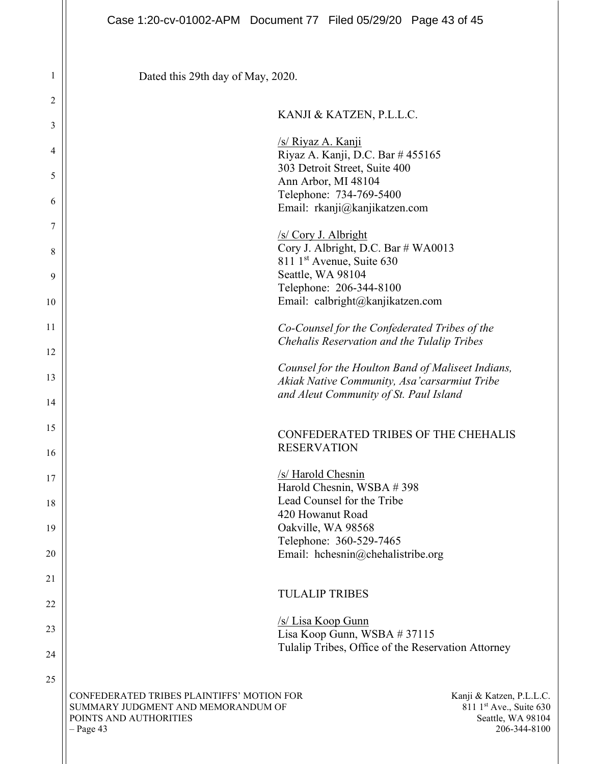Dated this 29th day of May, 2020.

1

2

## KANJI & KATZEN, P.L.L.C.

| 3  |                                            | $\Omega$ and $\alpha$ is a letter, i.e. $\alpha$ .        |  |
|----|--------------------------------------------|-----------------------------------------------------------|--|
| 4  |                                            | /s/ Riyaz A. Kanji<br>Riyaz A. Kanji, D.C. Bar # 455165   |  |
|    |                                            | 303 Detroit Street, Suite 400                             |  |
| 5  |                                            | Ann Arbor, MI 48104                                       |  |
|    |                                            | Telephone: 734-769-5400                                   |  |
| 6  |                                            | Email: rkanji@kanjikatzen.com                             |  |
| 7  |                                            | /s/ Cory J. Albright                                      |  |
| 8  |                                            | Cory J. Albright, D.C. Bar # WA0013                       |  |
|    |                                            | 811 1 <sup>st</sup> Avenue, Suite 630                     |  |
| 9  |                                            | Seattle, WA 98104                                         |  |
|    |                                            | Telephone: 206-344-8100                                   |  |
| 10 |                                            | Email: calbright@kanjikatzen.com                          |  |
| 11 |                                            | Co-Counsel for the Confederated Tribes of the             |  |
|    |                                            | Chehalis Reservation and the Tulalip Tribes               |  |
| 12 |                                            |                                                           |  |
|    |                                            | Counsel for the Houlton Band of Maliseet Indians,         |  |
| 13 |                                            | Akiak Native Community, Asa'carsarmiut Tribe              |  |
| 14 |                                            | and Aleut Community of St. Paul Island                    |  |
|    |                                            |                                                           |  |
| 15 |                                            |                                                           |  |
|    |                                            | CONFEDERATED TRIBES OF THE CHEHALIS<br><b>RESERVATION</b> |  |
| 16 |                                            |                                                           |  |
|    |                                            | /s/ Harold Chesnin                                        |  |
| 17 |                                            | Harold Chesnin, WSBA #398                                 |  |
| 18 |                                            | Lead Counsel for the Tribe                                |  |
|    |                                            | 420 Howanut Road                                          |  |
| 19 |                                            | Oakville, WA 98568                                        |  |
|    |                                            | Telephone: 360-529-7465                                   |  |
| 20 |                                            | Email: hchesnin@chehalistribe.org                         |  |
|    |                                            |                                                           |  |
| 21 |                                            |                                                           |  |
| 22 |                                            | <b>TULALIP TRIBES</b>                                     |  |
|    |                                            | /s/ Lisa Koop Gunn                                        |  |
| 23 |                                            | Lisa Koop Gunn, WSBA #37115                               |  |
|    |                                            | Tulalip Tribes, Office of the Reservation Attorney        |  |
| 24 |                                            |                                                           |  |
| 25 |                                            |                                                           |  |
|    | CONFEDERATED TRIBES PLAINTIFFS' MOTION FOR | Kanji & Katzen, P.L.L.C.                                  |  |
|    | SUMMARY JUDGMENT AND MEMORANDUM OF         | 811 1st Ave., Suite 630                                   |  |
|    | POINTS AND AUTHORITIES                     | Seattle, WA 98104                                         |  |
|    | $-$ Page 43                                | 206-344-8100                                              |  |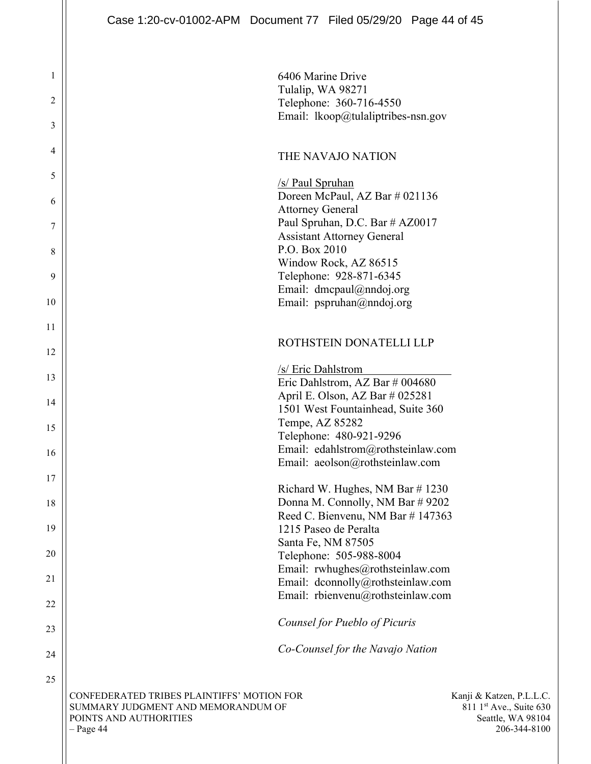1

2

3

4

5

6

7

8

9

10

11

12

13

14

15

16

17

18

19

20

21

22

23

24

25

CONFEDERATED TRIBES PLAINTIFFS' MOTION FOR SUMMARY JUDGMENT AND MEMORANDUM OF POINTS AND AUTHORITIES – Page 44 6406 Marine Drive Tulalip, WA 98271 Telephone: 360-716-4550 Email: lkoop@tulaliptribes-nsn.gov THE NAVAJO NATION /s/ Paul Spruhan Doreen McPaul, AZ Bar # 021136 Attorney General Paul Spruhan, D.C. Bar # AZ0017 Assistant Attorney General P.O. Box 2010 Window Rock, AZ 86515 Telephone: 928-871-6345 Email: dmcpaul@nndoj.org Email: pspruhan@nndoj.org ROTHSTEIN DONATELLI LLP /s/ Eric Dahlstrom Eric Dahlstrom, AZ Bar # 004680 April E. Olson, AZ Bar # 025281 1501 West Fountainhead, Suite 360 Tempe, AZ 85282 Telephone: 480-921-9296 Email: edahlstrom@rothsteinlaw.com Email: aeolson@rothsteinlaw.com Richard W. Hughes, NM Bar # 1230 Donna M. Connolly, NM Bar # 9202 Reed C. Bienvenu, NM Bar # 147363 1215 Paseo de Peralta Santa Fe, NM 87505 Telephone: 505-988-8004 Email: rwhughes@rothsteinlaw.com Email: dconnolly@rothsteinlaw.com Email: rbienvenu@rothsteinlaw.com Counsel for Pueblo of Picuris Co-Counsel for the Navajo Nation